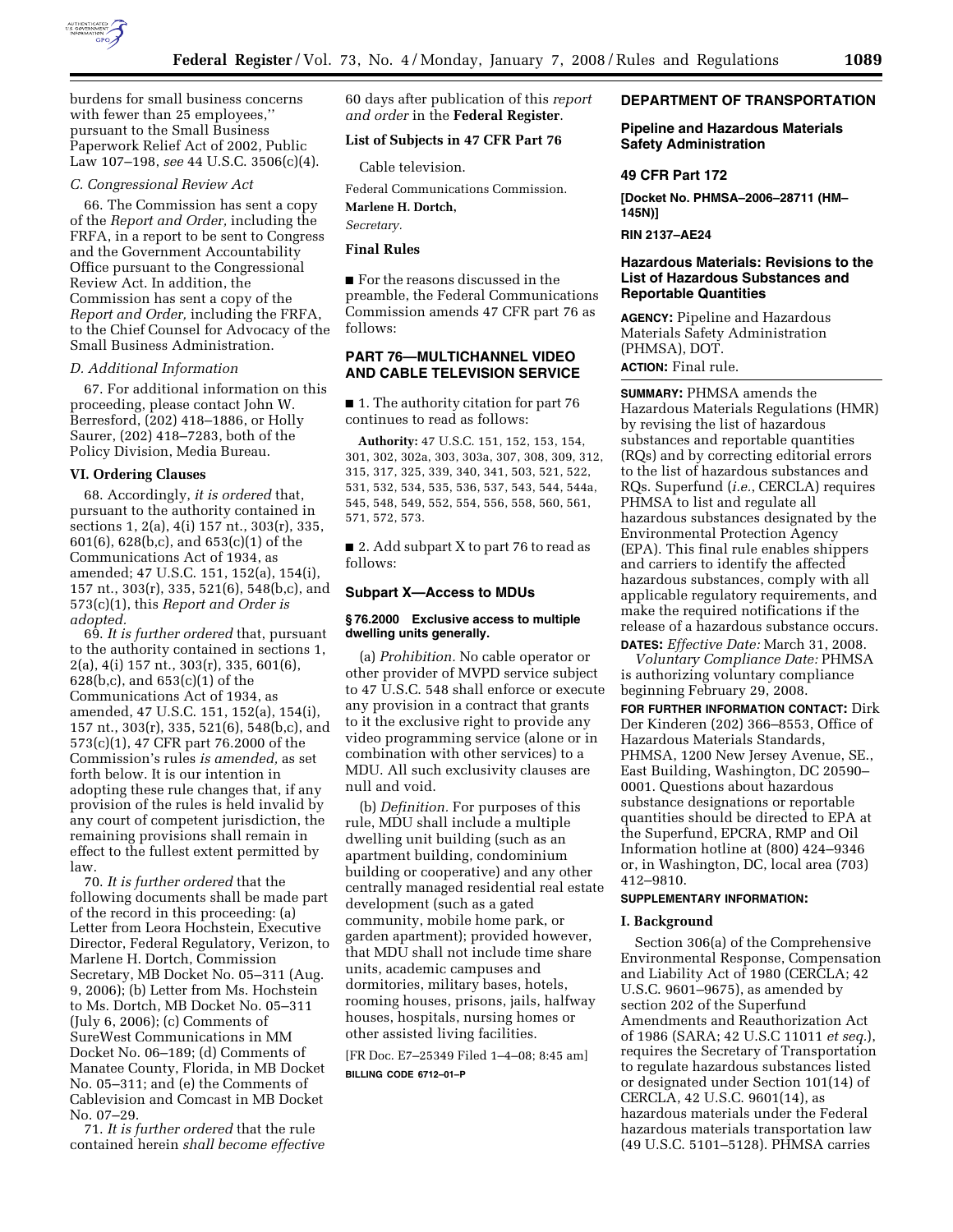

burdens for small business concerns with fewer than 25 employees,'' pursuant to the Small Business Paperwork Relief Act of 2002, Public Law 107–198, *see* 44 U.S.C. 3506(c)(4).

#### *C. Congressional Review Act*

66. The Commission has sent a copy of the *Report and Order,* including the FRFA, in a report to be sent to Congress and the Government Accountability Office pursuant to the Congressional Review Act. In addition, the Commission has sent a copy of the *Report and Order,* including the FRFA, to the Chief Counsel for Advocacy of the Small Business Administration.

#### *D. Additional Information*

67. For additional information on this proceeding, please contact John W. Berresford, (202) 418–1886, or Holly Saurer, (202) 418–7283, both of the Policy Division, Media Bureau.

#### **VI. Ordering Clauses**

68. Accordingly, *it is ordered* that, pursuant to the authority contained in sections 1, 2(a), 4(i) 157 nt., 303(r), 335, 601(6), 628(b,c), and 653(c)(1) of the Communications Act of 1934, as amended; 47 U.S.C. 151, 152(a), 154(i), 157 nt., 303(r), 335, 521(6), 548(b,c), and 573(c)(1), this *Report and Order is adopted.* 

69. *It is further ordered* that, pursuant to the authority contained in sections 1, 2(a), 4(i) 157 nt., 303(r), 335, 601(6), 628(b,c), and 653(c)(1) of the Communications Act of 1934, as amended, 47 U.S.C. 151, 152(a), 154(i), 157 nt., 303(r), 335, 521(6), 548(b,c), and 573(c)(1), 47 CFR part 76.2000 of the Commission's rules *is amended,* as set forth below. It is our intention in adopting these rule changes that, if any provision of the rules is held invalid by any court of competent jurisdiction, the remaining provisions shall remain in effect to the fullest extent permitted by law.

70. *It is further ordered* that the following documents shall be made part of the record in this proceeding: (a) Letter from Leora Hochstein, Executive Director, Federal Regulatory, Verizon, to Marlene H. Dortch, Commission Secretary, MB Docket No. 05–311 (Aug. 9, 2006); (b) Letter from Ms. Hochstein to Ms. Dortch, MB Docket No. 05–311 (July 6, 2006); (c) Comments of SureWest Communications in MM Docket No. 06–189; (d) Comments of Manatee County, Florida, in MB Docket No. 05–311; and (e) the Comments of Cablevision and Comcast in MB Docket No. 07–29.

71. *It is further ordered* that the rule contained herein *shall become effective*  60 days after publication of this *report and order* in the **Federal Register**.

#### **List of Subjects in 47 CFR Part 76**

Cable television.

Federal Communications Commission.

**Marlene H. Dortch,** 

*Secretary.* 

# **Final Rules**

■ For the reasons discussed in the preamble, the Federal Communications Commission amends 47 CFR part 76 as follows:

## **PART 76—MULTICHANNEL VIDEO AND CABLE TELEVISION SERVICE**

■ 1. The authority citation for part 76 continues to read as follows:

**Authority:** 47 U.S.C. 151, 152, 153, 154, 301, 302, 302a, 303, 303a, 307, 308, 309, 312, 315, 317, 325, 339, 340, 341, 503, 521, 522, 531, 532, 534, 535, 536, 537, 543, 544, 544a, 545, 548, 549, 552, 554, 556, 558, 560, 561, 571, 572, 573.

■ 2. Add subpart X to part 76 to read as follows:

#### **Subpart X—Access to MDUs**

#### **§ 76.2000 Exclusive access to multiple dwelling units generally.**

(a) *Prohibition.* No cable operator or other provider of MVPD service subject to 47 U.S.C. 548 shall enforce or execute any provision in a contract that grants to it the exclusive right to provide any video programming service (alone or in combination with other services) to a MDU. All such exclusivity clauses are null and void.

(b) *Definition.* For purposes of this rule, MDU shall include a multiple dwelling unit building (such as an apartment building, condominium building or cooperative) and any other centrally managed residential real estate development (such as a gated community, mobile home park, or garden apartment); provided however, that MDU shall not include time share units, academic campuses and dormitories, military bases, hotels, rooming houses, prisons, jails, halfway houses, hospitals, nursing homes or other assisted living facilities.

[FR Doc. E7–25349 Filed 1–4–08; 8:45 am] **BILLING CODE 6712–01–P** 

**DEPARTMENT OF TRANSPORTATION** 

#### **Pipeline and Hazardous Materials Safety Administration**

#### **49 CFR Part 172**

**[Docket No. PHMSA–2006–28711 (HM– 145N)]** 

**RIN 2137–AE24** 

#### **Hazardous Materials: Revisions to the List of Hazardous Substances and Reportable Quantities**

**AGENCY:** Pipeline and Hazardous Materials Safety Administration (PHMSA), DOT.

**ACTION:** Final rule.

**SUMMARY:** PHMSA amends the Hazardous Materials Regulations (HMR) by revising the list of hazardous substances and reportable quantities (RQs) and by correcting editorial errors to the list of hazardous substances and RQs. Superfund (*i.e.*, CERCLA) requires PHMSA to list and regulate all hazardous substances designated by the Environmental Protection Agency (EPA). This final rule enables shippers and carriers to identify the affected hazardous substances, comply with all applicable regulatory requirements, and make the required notifications if the release of a hazardous substance occurs. **DATES:** *Effective Date:* March 31, 2008.

*Voluntary Compliance Date:* PHMSA is authorizing voluntary compliance beginning February 29, 2008.

**FOR FURTHER INFORMATION CONTACT:** Dirk Der Kinderen (202) 366–8553, Office of Hazardous Materials Standards, PHMSA, 1200 New Jersey Avenue, SE., East Building, Washington, DC 20590– 0001. Questions about hazardous substance designations or reportable quantities should be directed to EPA at the Superfund, EPCRA, RMP and Oil Information hotline at (800) 424–9346 or, in Washington, DC, local area (703) 412–9810.

#### **SUPPLEMENTARY INFORMATION:**

#### **I. Background**

Section 306(a) of the Comprehensive Environmental Response, Compensation and Liability Act of 1980 (CERCLA; 42 U.S.C. 9601–9675), as amended by section 202 of the Superfund Amendments and Reauthorization Act of 1986 (SARA; 42 U.S.C 11011 *et seq.*), requires the Secretary of Transportation to regulate hazardous substances listed or designated under Section 101(14) of CERCLA, 42 U.S.C. 9601(14), as hazardous materials under the Federal hazardous materials transportation law (49 U.S.C. 5101–5128). PHMSA carries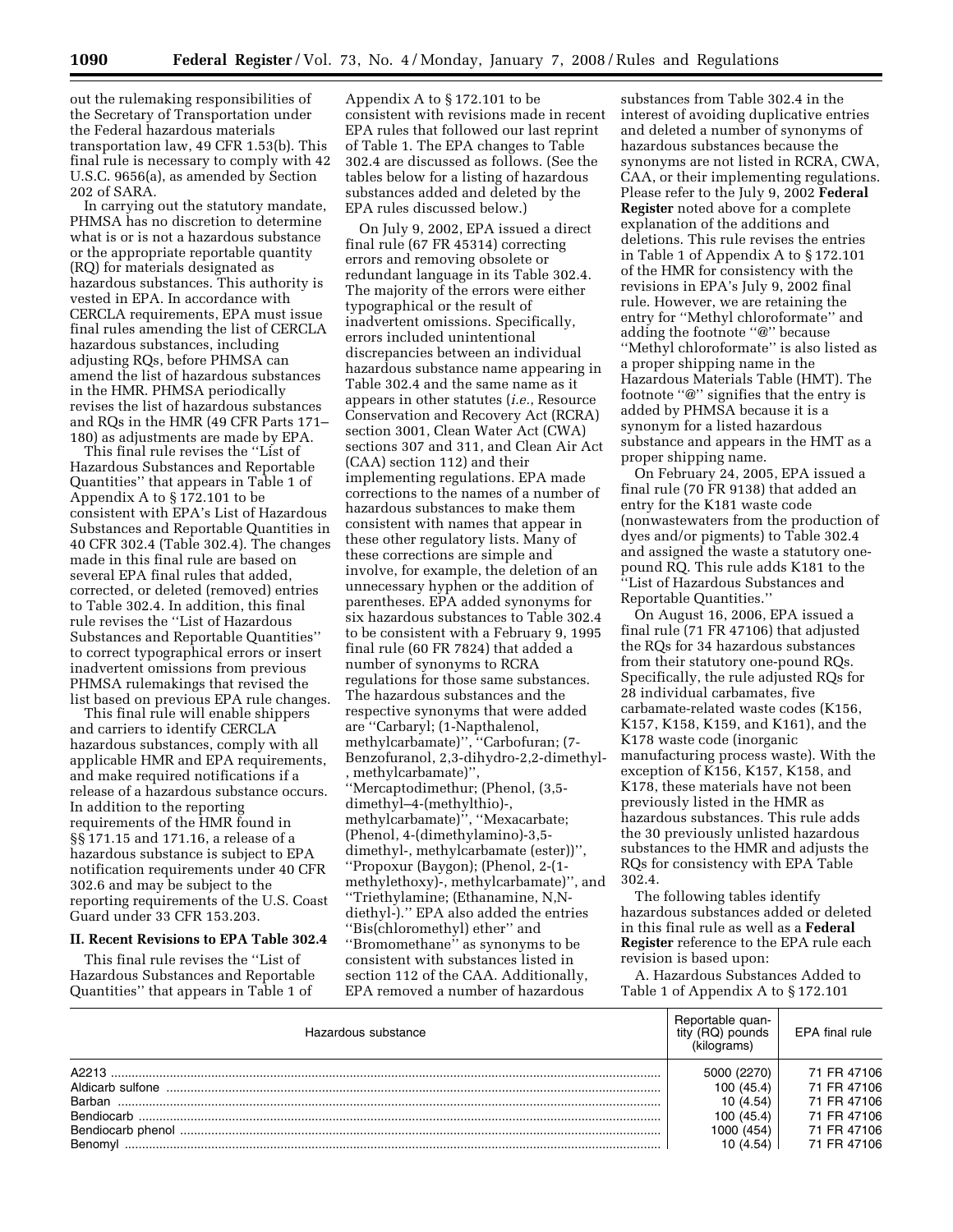out the rulemaking responsibilities of the Secretary of Transportation under the Federal hazardous materials transportation law, 49 CFR 1.53(b). This final rule is necessary to comply with 42 U.S.C. 9656(a), as amended by Section 202 of SARA.

In carrying out the statutory mandate, PHMSA has no discretion to determine what is or is not a hazardous substance or the appropriate reportable quantity (RQ) for materials designated as hazardous substances. This authority is vested in EPA. In accordance with CERCLA requirements, EPA must issue final rules amending the list of CERCLA hazardous substances, including adjusting RQs, before PHMSA can amend the list of hazardous substances in the HMR. PHMSA periodically revises the list of hazardous substances and RQs in the HMR (49 CFR Parts 171– 180) as adjustments are made by EPA.

This final rule revises the ''List of Hazardous Substances and Reportable Quantities'' that appears in Table 1 of Appendix A to § 172.101 to be consistent with EPA's List of Hazardous Substances and Reportable Quantities in 40 CFR 302.4 (Table 302.4). The changes made in this final rule are based on several EPA final rules that added, corrected, or deleted (removed) entries to Table 302.4. In addition, this final rule revises the ''List of Hazardous Substances and Reportable Quantities'' to correct typographical errors or insert inadvertent omissions from previous PHMSA rulemakings that revised the list based on previous EPA rule changes.

This final rule will enable shippers and carriers to identify CERCLA hazardous substances, comply with all applicable HMR and EPA requirements, and make required notifications if a release of a hazardous substance occurs. In addition to the reporting requirements of the HMR found in §§ 171.15 and 171.16, a release of a hazardous substance is subject to EPA notification requirements under 40 CFR 302.6 and may be subject to the reporting requirements of the U.S. Coast Guard under 33 CFR 153.203.

#### **II. Recent Revisions to EPA Table 302.4**

This final rule revises the ''List of Hazardous Substances and Reportable Quantities'' that appears in Table 1 of

Appendix A to § 172.101 to be consistent with revisions made in recent EPA rules that followed our last reprint of Table 1. The EPA changes to Table 302.4 are discussed as follows. (See the tables below for a listing of hazardous substances added and deleted by the EPA rules discussed below.)

On July 9, 2002, EPA issued a direct final rule (67 FR 45314) correcting errors and removing obsolete or redundant language in its Table 302.4. The majority of the errors were either typographical or the result of inadvertent omissions. Specifically, errors included unintentional discrepancies between an individual hazardous substance name appearing in Table 302.4 and the same name as it appears in other statutes (*i.e.*, Resource Conservation and Recovery Act (RCRA) section 3001, Clean Water Act (CWA) sections 307 and 311, and Clean Air Act (CAA) section 112) and their implementing regulations. EPA made corrections to the names of a number of hazardous substances to make them consistent with names that appear in these other regulatory lists. Many of these corrections are simple and involve, for example, the deletion of an unnecessary hyphen or the addition of parentheses. EPA added synonyms for six hazardous substances to Table 302.4 to be consistent with a February 9, 1995 final rule (60 FR 7824) that added a number of synonyms to RCRA regulations for those same substances. The hazardous substances and the respective synonyms that were added are ''Carbaryl; (1-Napthalenol, methylcarbamate)'', ''Carbofuran; (7- Benzofuranol, 2,3-dihydro-2,2-dimethyl- , methylcarbamate)'', ''Mercaptodimethur; (Phenol, (3,5 dimethyl–4-(methylthio)-, methylcarbamate)'', ''Mexacarbate; (Phenol, 4-(dimethylamino)-3,5 dimethyl-, methylcarbamate (ester))'', ''Propoxur (Baygon); (Phenol, 2-(1 methylethoxy)-, methylcarbamate)'', and ''Triethylamine; (Ethanamine, N,Ndiethyl-).'' EPA also added the entries ''Bis(chloromethyl) ether'' and ''Bromomethane'' as synonyms to be consistent with substances listed in section 112 of the CAA. Additionally, EPA removed a number of hazardous

substances from Table 302.4 in the interest of avoiding duplicative entries and deleted a number of synonyms of hazardous substances because the synonyms are not listed in RCRA, CWA, CAA, or their implementing regulations. Please refer to the July 9, 2002 **Federal Register** noted above for a complete explanation of the additions and deletions. This rule revises the entries in Table 1 of Appendix A to § 172.101 of the HMR for consistency with the revisions in EPA's July 9, 2002 final rule. However, we are retaining the entry for ''Methyl chloroformate'' and adding the footnote ''@'' because ''Methyl chloroformate'' is also listed as a proper shipping name in the Hazardous Materials Table (HMT). The footnote ''@'' signifies that the entry is added by PHMSA because it is a synonym for a listed hazardous substance and appears in the HMT as a proper shipping name.

On February 24, 2005, EPA issued a final rule (70 FR 9138) that added an entry for the K181 waste code (nonwastewaters from the production of dyes and/or pigments) to Table 302.4 and assigned the waste a statutory onepound RQ. This rule adds K181 to the ''List of Hazardous Substances and Reportable Quantities.''

On August 16, 2006, EPA issued a final rule (71 FR 47106) that adjusted the RQs for 34 hazardous substances from their statutory one-pound RQs. Specifically, the rule adjusted RQs for 28 individual carbamates, five carbamate-related waste codes (K156, K157, K158, K159, and K161), and the K178 waste code (inorganic manufacturing process waste). With the exception of K156, K157, K158, and K178, these materials have not been previously listed in the HMR as hazardous substances. This rule adds the 30 previously unlisted hazardous substances to the HMR and adjusts the RQs for consistency with EPA Table 302.4.

The following tables identify hazardous substances added or deleted in this final rule as well as a **Federal Register** reference to the EPA rule each revision is based upon:

A. Hazardous Substances Added to Table 1 of Appendix A to § 172.101

| Hazardous substance | Reportable quan-<br>tity (RQ) pounds<br>(kiloarams) | EPA final rule |
|---------------------|-----------------------------------------------------|----------------|
| A2213               | 5000 (2270)                                         | 71 FR 47106    |
|                     | 100 (45.4)                                          | 71 FR 47106    |
| Barban              | 10(4.54)                                            | 71 FR 47106    |
| <b>Bendiocarb</b>   | 100 (45.4)                                          | 71 FR 47106    |
|                     | 1000 (454)                                          | 71 FR 47106    |
| Benomvl             | 10(4.54)                                            | 71 FR 47106    |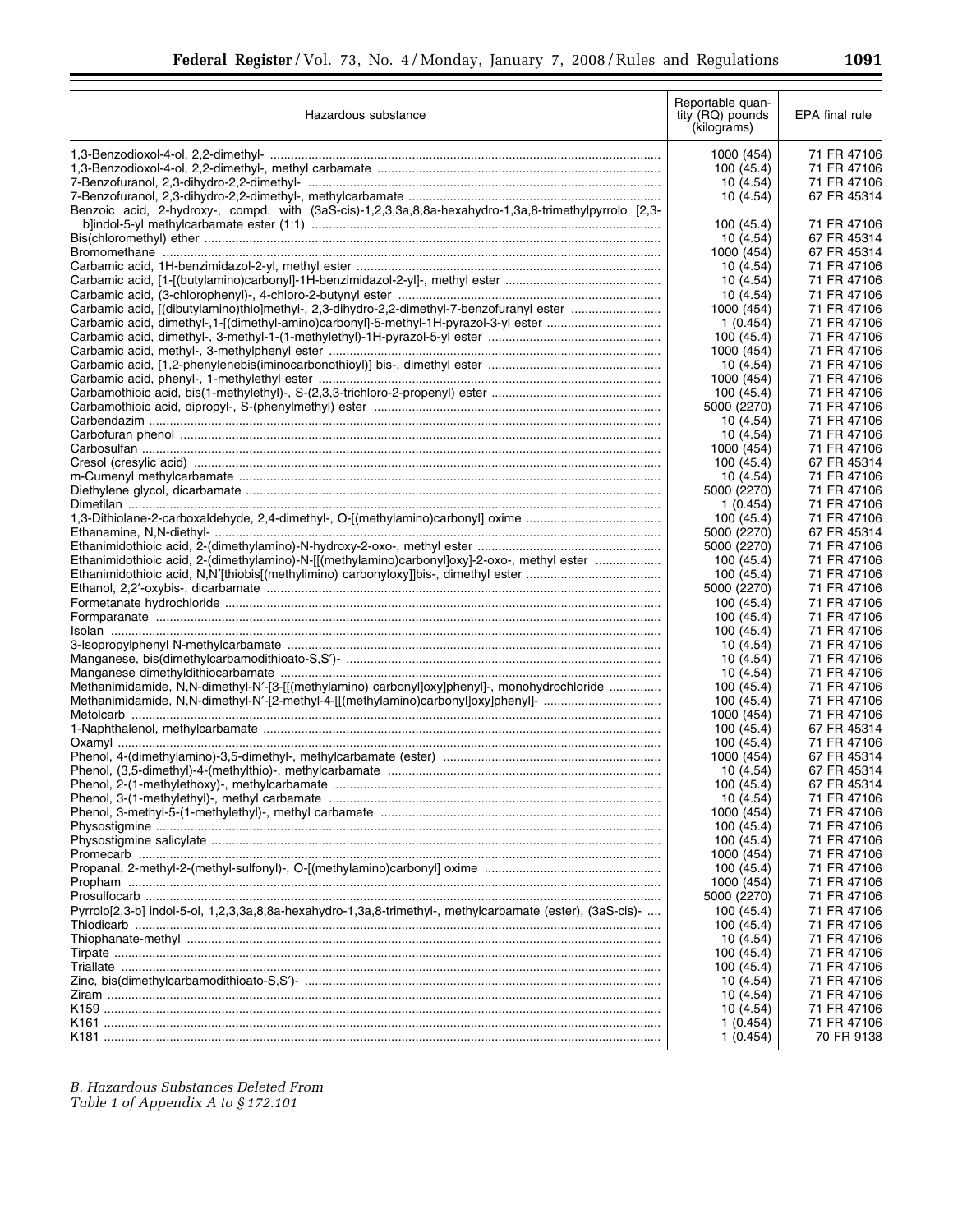| Hazardous substance                                                                                       | Reportable quan-<br>tity (RQ) pounds<br>(kilograms) | EPA final rule             |
|-----------------------------------------------------------------------------------------------------------|-----------------------------------------------------|----------------------------|
|                                                                                                           | 1000 (454)                                          | 71 FR 47106                |
|                                                                                                           | 100 (45.4)                                          | 71 FR 47106                |
|                                                                                                           | 10(4.54)                                            | 71 FR 47106                |
|                                                                                                           | 10 (4.54)                                           | 67 FR 45314                |
| Benzoic acid, 2-hydroxy-, compd. with (3aS-cis)-1,2,3,3a,8,8a-hexahydro-1,3a,8-trimethylpyrrolo [2,3-     |                                                     |                            |
|                                                                                                           | 100 (45.4)                                          | 71 FR 47106                |
|                                                                                                           | 10 (4.54)                                           | 67 FR 45314                |
|                                                                                                           | 1000 (454)<br>10 (4.54)                             | 67 FR 45314<br>71 FR 47106 |
|                                                                                                           | 10 (4.54)                                           | 71 FR 47106                |
|                                                                                                           | 10 (4.54)                                           | 71 FR 47106                |
| Carbamic acid, [(dibutylamino)thio]methyl-, 2,3-dihydro-2,2-dimethyl-7-benzofuranyl ester                 | 1000 (454)                                          | 71 FR 47106                |
|                                                                                                           | 1(0.454)                                            | 71 FR 47106                |
|                                                                                                           | 100 (45.4)                                          | 71 FR 47106                |
|                                                                                                           | 1000 (454)                                          | 71 FR 47106                |
|                                                                                                           | 10 (4.54)                                           | 71 FR 47106                |
|                                                                                                           | 1000 (454)                                          | 71 FR 47106                |
|                                                                                                           | 100 (45.4)                                          | 71 FR 47106                |
|                                                                                                           | 5000 (2270)                                         | 71 FR 47106                |
|                                                                                                           | 10 (4.54)                                           | 71 FR 47106                |
|                                                                                                           | 10 (4.54)<br>1000 (454)                             | 71 FR 47106<br>71 FR 47106 |
|                                                                                                           | 100 (45.4)                                          | 67 FR 45314                |
|                                                                                                           | 10 (4.54)                                           | 71 FR 47106                |
|                                                                                                           | 5000 (2270)                                         | 71 FR 47106                |
|                                                                                                           | 1(0.454)                                            | 71 FR 47106                |
|                                                                                                           | 100 (45.4)                                          | 71 FR 47106                |
|                                                                                                           | 5000 (2270)                                         | 67 FR 45314                |
|                                                                                                           | 5000 (2270)                                         | 71 FR 47106                |
| Ethanimidothioic acid, 2-(dimethylamino)-N-[[(methylamino)carbonyl]oxy]-2-oxo-, methyl ester              | 100 (45.4)                                          | 71 FR 47106                |
|                                                                                                           | 100 (45.4)                                          | 71 FR 47106                |
|                                                                                                           | 5000 (2270)                                         | 71 FR 47106                |
|                                                                                                           | 100 (45.4)                                          | 71 FR 47106                |
|                                                                                                           | 100 (45.4)                                          | 71 FR 47106<br>71 FR 47106 |
|                                                                                                           | 100 (45.4)<br>10 (4.54)                             | 71 FR 47106                |
|                                                                                                           | 10 (4.54)                                           | 71 FR 47106                |
|                                                                                                           | 10 (4.54)                                           | 71 FR 47106                |
| Methanimidamide, N,N-dimethyl-N'-[3-[[(methylamino) carbonyl]oxy]phenyl]-, monohydrochloride              | 100 (45.4)                                          | 71 FR 47106                |
| Methanimidamide, N,N-dimethyl-N'-[2-methyl-4-[[(methylamino)carbonyl]oxy]phenyl]-                         | 100 (45.4)                                          | 71 FR 47106                |
|                                                                                                           | 1000 (454)                                          | 71 FR 47106                |
|                                                                                                           | 100 (45.4)                                          | 67 FR 45314                |
|                                                                                                           | 100 (45.4)                                          | 71 FR 47106                |
|                                                                                                           | 1000 (454)                                          | 67 FR 45314                |
|                                                                                                           | 10 (4.54)                                           | 67 FR 45314                |
|                                                                                                           | 100 (45.4)                                          | 67 FR 45314                |
|                                                                                                           | 10 (4.54)<br>1000 (454)                             | 71 FR 47106<br>71 FR 47106 |
|                                                                                                           | 100 (45.4)                                          | 71 FR 47106                |
|                                                                                                           | 100 (45.4)                                          | 71 FR 47106                |
|                                                                                                           | 1000 (454)                                          | 71 FR 47106                |
|                                                                                                           | 100 (45.4)                                          | 71 FR 47106                |
|                                                                                                           | 1000 (454)                                          | 71 FR 47106                |
|                                                                                                           | 5000 (2270)                                         | 71 FR 47106                |
| Pyrrolo[2,3-b] indol-5-ol, 1,2,3,3a,8,8a-hexahydro-1,3a,8-trimethyl-, methylcarbamate (ester), (3aS-cis)- | 100 (45.4)                                          | 71 FR 47106                |
|                                                                                                           | 100 (45.4)                                          | 71 FR 47106                |
|                                                                                                           | 10 (4.54)                                           | 71 FR 47106                |
|                                                                                                           | 100 (45.4)                                          | 71 FR 47106                |
|                                                                                                           | 100 (45.4)                                          | 71 FR 47106<br>71 FR 47106 |
|                                                                                                           | 10 (4.54)<br>10 (4.54)                              | 71 FR 47106                |
|                                                                                                           | 10 (4.54)                                           | 71 FR 47106                |
|                                                                                                           | 1(0.454)                                            | 71 FR 47106                |
|                                                                                                           | 1(0.454)                                            | 70 FR 9138                 |

*B. Hazardous Substances Deleted From Table 1 of Appendix A to § 172.101*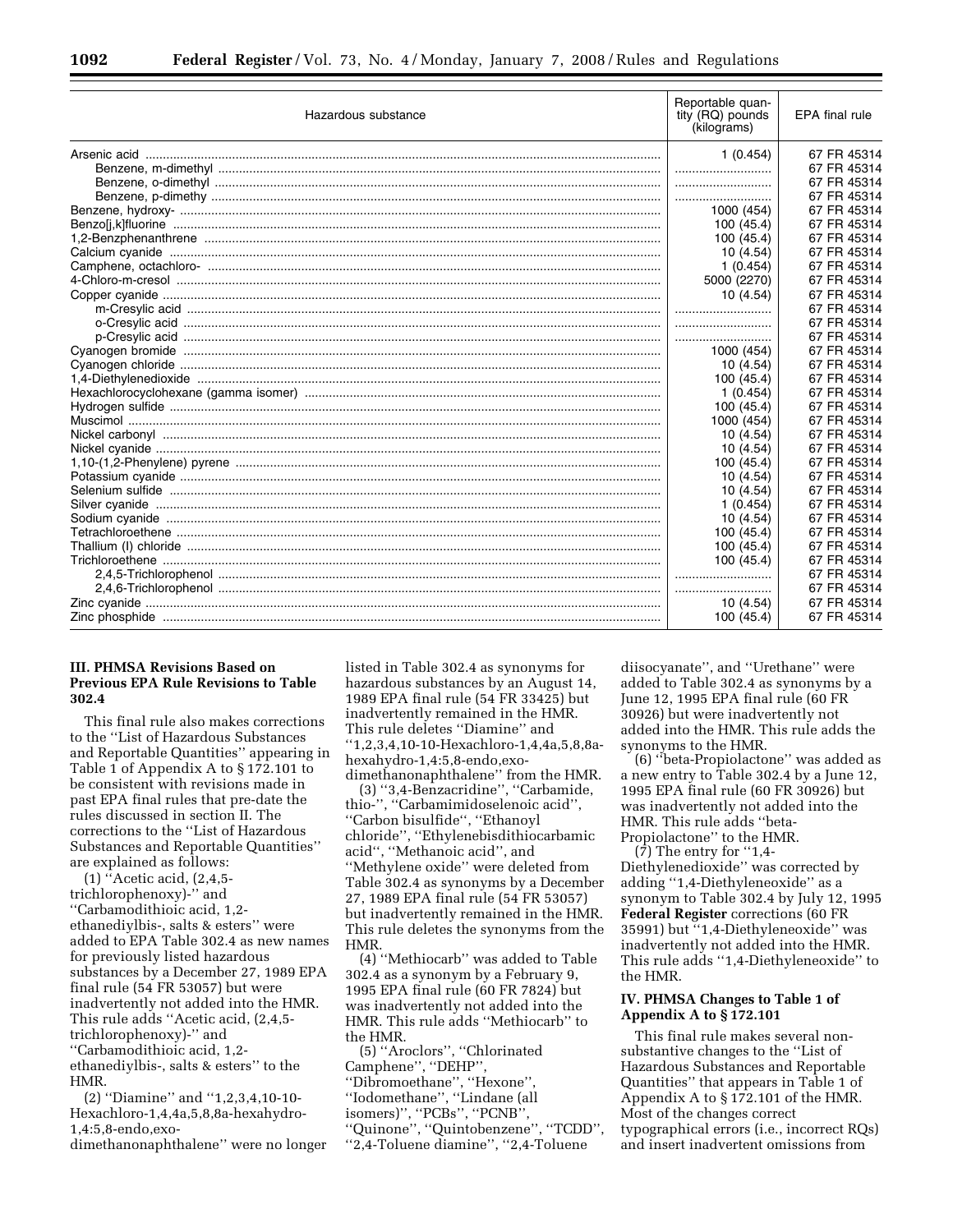| Hazardous substance | Reportable quan-<br>tity (RQ) pounds<br>(kilograms) | EPA final rule |
|---------------------|-----------------------------------------------------|----------------|
|                     | 1(0.454)                                            | 67 FR 45314    |
|                     |                                                     | 67 FR 45314    |
|                     |                                                     | 67 FR 45314    |
|                     |                                                     | 67 FR 45314    |
|                     | 1000 (454)                                          | 67 FR 45314    |
|                     | 100 (45.4)                                          | 67 FR 45314    |
|                     | 100 (45.4)                                          | 67 FR 45314    |
|                     | 10 (4.54)                                           | 67 FR 45314    |
|                     | 1(0.454)                                            | 67 FR 45314    |
|                     | 5000 (2270)                                         | 67 FR 45314    |
|                     | 10(4.54)                                            | 67 FR 45314    |
|                     |                                                     | 67 FR 45314    |
|                     |                                                     | 67 FR 45314    |
|                     |                                                     | 67 FR 45314    |
|                     | 1000 (454)                                          | 67 FR 45314    |
|                     | 10(4.54)                                            | 67 FR 45314    |
|                     | 100 (45.4)                                          | 67 FR 45314    |
|                     | 1(0.454)                                            | 67 FR 45314    |
|                     | 100 (45.4)                                          | 67 FR 45314    |
|                     | 1000 (454)                                          | 67 FR 45314    |
|                     | 10(4.54)                                            | 67 FR 45314    |
|                     | 10(4.54)                                            | 67 FR 45314    |
|                     | 100 (45.4)                                          | 67 FR 45314    |
|                     | 10(4.54)                                            | 67 FR 45314    |
|                     | 10(4.54)                                            | 67 FR 45314    |
|                     | 1(0.454)                                            | 67 FR 45314    |
|                     | 10(4.54)                                            | 67 FR 45314    |
|                     | 100 (45.4)                                          | 67 FR 45314    |
|                     | 100 (45.4)                                          | 67 FR 45314    |
|                     | 100 (45.4)                                          | 67 FR 45314    |
|                     |                                                     | 67 FR 45314    |
|                     |                                                     | 67 FR 45314    |
|                     | 10 (4.54)                                           | 67 FR 45314    |
|                     | 100 (45.4)                                          | 67 FR 45314    |

## **III. PHMSA Revisions Based on Previous EPA Rule Revisions to Table 302.4**

This final rule also makes corrections to the ''List of Hazardous Substances and Reportable Quantities'' appearing in Table 1 of Appendix A to § 172.101 to be consistent with revisions made in past EPA final rules that pre-date the rules discussed in section II. The corrections to the ''List of Hazardous Substances and Reportable Quantities'' are explained as follows:

(1) ''Acetic acid, (2,4,5 trichlorophenoxy)-'' and ''Carbamodithioic acid, 1,2 ethanediylbis-, salts & esters'' were added to EPA Table 302.4 as new names for previously listed hazardous substances by a December 27, 1989 EPA final rule (54 FR 53057) but were inadvertently not added into the HMR. This rule adds ''Acetic acid, (2,4,5 trichlorophenoxy)-'' and ''Carbamodithioic acid, 1,2 ethanediylbis-, salts & esters'' to the HMR.

(2) ''Diamine'' and ''1,2,3,4,10-10- Hexachloro-1,4,4a,5,8,8a-hexahydro-1,4:5,8-endo,exo-

dimethanonaphthalene'' were no longer

listed in Table 302.4 as synonyms for hazardous substances by an August 14, 1989 EPA final rule (54 FR 33425) but inadvertently remained in the HMR. This rule deletes ''Diamine'' and ''1,2,3,4,10-10-Hexachloro-1,4,4a,5,8,8ahexahydro-1,4:5,8-endo,exo-

dimethanonaphthalene'' from the HMR. (3) ''3,4-Benzacridine'', ''Carbamide, thio-'', ''Carbamimidoselenoic acid'', ''Carbon bisulfide'', ''Ethanoyl chloride'', ''Ethylenebisdithiocarbamic acid'', ''Methanoic acid'', and ''Methylene oxide'' were deleted from Table 302.4 as synonyms by a December 27, 1989 EPA final rule (54 FR 53057) but inadvertently remained in the HMR. This rule deletes the synonyms from the HMR.

(4) ''Methiocarb'' was added to Table 302.4 as a synonym by a February 9, 1995 EPA final rule (60 FR 7824) but was inadvertently not added into the HMR. This rule adds ''Methiocarb'' to the HMR.

(5) ''Aroclors'', ''Chlorinated Camphene'', ''DEHP'', ''Dibromoethane'', ''Hexone'', ''Iodomethane'', ''Lindane (all isomers)'', ''PCBs'', ''PCNB'', ''Quinone'', ''Quintobenzene'', ''TCDD'', ''2,4-Toluene diamine'', ''2,4-Toluene

diisocyanate'', and ''Urethane'' were added to Table 302.4 as synonyms by a June 12, 1995 EPA final rule (60 FR 30926) but were inadvertently not added into the HMR. This rule adds the synonyms to the HMR.

(6) ''beta-Propiolactone'' was added as a new entry to Table 302.4 by a June 12, 1995 EPA final rule (60 FR 30926) but was inadvertently not added into the HMR. This rule adds ''beta-Propiolactone'' to the HMR.

(7) The entry for ''1,4- Diethylenedioxide'' was corrected by adding ''1,4-Diethyleneoxide'' as a synonym to Table 302.4 by July 12, 1995 **Federal Register** corrections (60 FR 35991) but ''1,4-Diethyleneoxide'' was inadvertently not added into the HMR. This rule adds ''1,4-Diethyleneoxide'' to the HMR.

#### **IV. PHMSA Changes to Table 1 of Appendix A to § 172.101**

This final rule makes several nonsubstantive changes to the ''List of Hazardous Substances and Reportable Quantities'' that appears in Table 1 of Appendix A to § 172.101 of the HMR. Most of the changes correct typographical errors (i.e., incorrect RQs) and insert inadvertent omissions from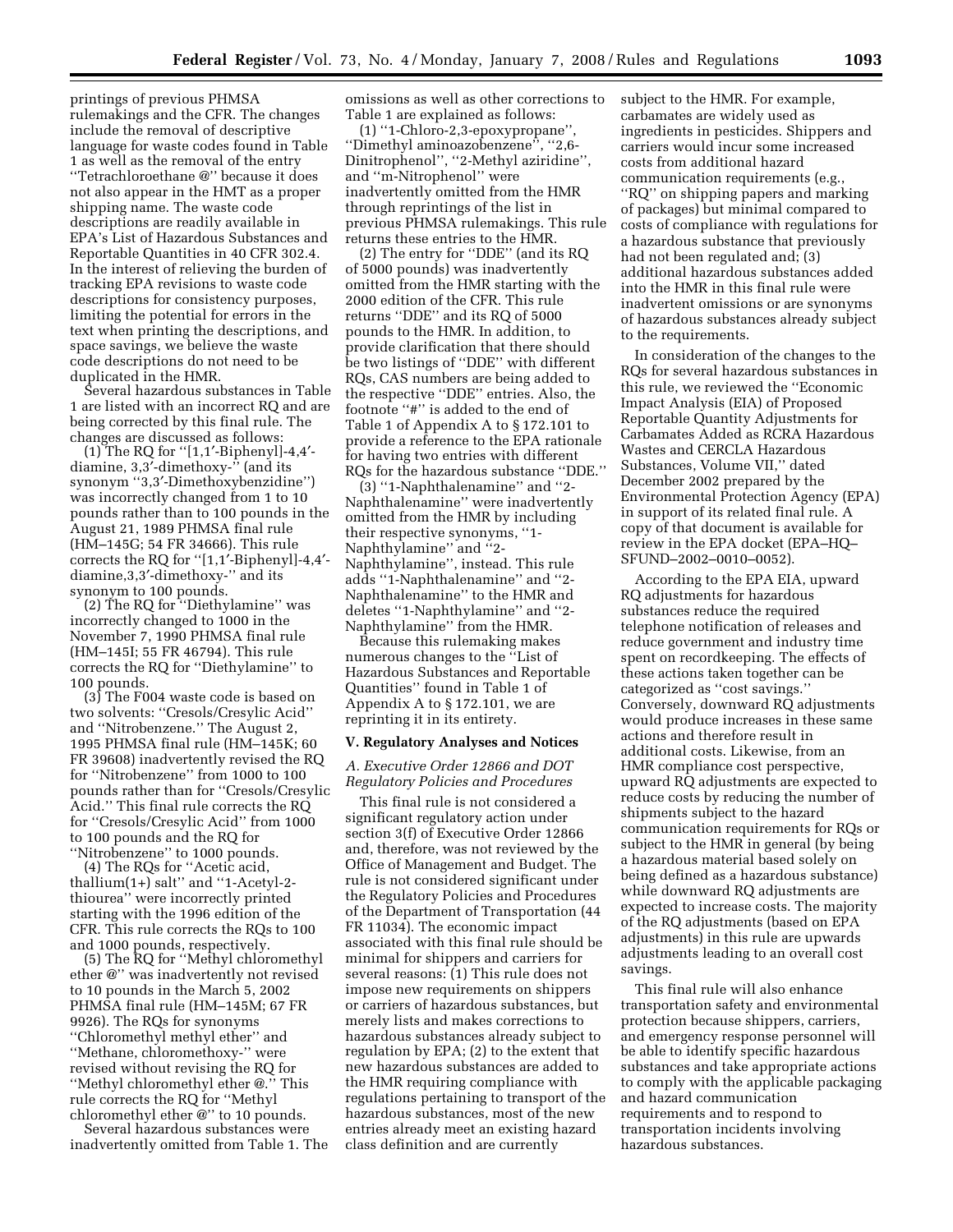printings of previous PHMSA rulemakings and the CFR. The changes include the removal of descriptive language for waste codes found in Table 1 as well as the removal of the entry ''Tetrachloroethane @'' because it does not also appear in the HMT as a proper shipping name. The waste code descriptions are readily available in EPA's List of Hazardous Substances and Reportable Quantities in 40 CFR 302.4. In the interest of relieving the burden of tracking EPA revisions to waste code descriptions for consistency purposes, limiting the potential for errors in the text when printing the descriptions, and space savings, we believe the waste code descriptions do not need to be duplicated in the HMR.

Several hazardous substances in Table 1 are listed with an incorrect RQ and are being corrected by this final rule. The changes are discussed as follows:

(1) The RQ for ''[1,1′-Biphenyl]-4,4′ diamine, 3,3′-dimethoxy-'' (and its synonym ''3,3′-Dimethoxybenzidine'') was incorrectly changed from 1 to 10 pounds rather than to 100 pounds in the August 21, 1989 PHMSA final rule (HM–145G; 54 FR 34666). This rule corrects the RQ for ''[1,1′-Biphenyl]-4,4′ diamine,3,3′-dimethoxy-'' and its synonym to 100 pounds.

(2) The RQ for ''Diethylamine'' was incorrectly changed to 1000 in the November 7, 1990 PHMSA final rule (HM–145I; 55 FR 46794). This rule corrects the RQ for ''Diethylamine'' to 100 pounds.

(3) The F004 waste code is based on two solvents: ''Cresols/Cresylic Acid'' and ''Nitrobenzene.'' The August 2, 1995 PHMSA final rule (HM–145K; 60 FR 39608) inadvertently revised the RQ for ''Nitrobenzene'' from 1000 to 100 pounds rather than for ''Cresols/Cresylic Acid.'' This final rule corrects the RQ for ''Cresols/Cresylic Acid'' from 1000 to 100 pounds and the RQ for ''Nitrobenzene'' to 1000 pounds.

(4) The RQs for ''Acetic acid, thallium(1+) salt'' and ''1-Acetyl-2 thiourea'' were incorrectly printed starting with the 1996 edition of the CFR. This rule corrects the RQs to 100 and 1000 pounds, respectively.

(5) The RQ for ''Methyl chloromethyl ether @'' was inadvertently not revised to 10 pounds in the March 5, 2002 PHMSA final rule (HM–145M; 67 FR 9926). The RQs for synonyms ''Chloromethyl methyl ether'' and ''Methane, chloromethoxy-'' were revised without revising the RQ for ''Methyl chloromethyl ether @.'' This rule corrects the RQ for ''Methyl chloromethyl ether @'' to 10 pounds.

Several hazardous substances were inadvertently omitted from Table 1. The omissions as well as other corrections to Table 1 are explained as follows:

(1) ''1-Chloro-2,3-epoxypropane'', ''Dimethyl aminoazobenzene'', ''2,6- Dinitrophenol'', ''2-Methyl aziridine'', and ''m-Nitrophenol'' were inadvertently omitted from the HMR through reprintings of the list in previous PHMSA rulemakings. This rule returns these entries to the HMR.

(2) The entry for ''DDE'' (and its RQ of 5000 pounds) was inadvertently omitted from the HMR starting with the 2000 edition of the CFR. This rule returns ''DDE'' and its RQ of 5000 pounds to the HMR. In addition, to provide clarification that there should be two listings of ''DDE'' with different RQs, CAS numbers are being added to the respective ''DDE'' entries. Also, the footnote ''#'' is added to the end of Table 1 of Appendix A to § 172.101 to provide a reference to the EPA rationale for having two entries with different RQs for the hazardous substance ''DDE.''

(3) ''1-Naphthalenamine'' and ''2- Naphthalenamine'' were inadvertently omitted from the HMR by including their respective synonyms, ''1- Naphthylamine'' and ''2- Naphthylamine'', instead. This rule adds ''1-Naphthalenamine'' and ''2- Naphthalenamine'' to the HMR and deletes ''1-Naphthylamine'' and ''2- Naphthylamine'' from the HMR.

Because this rulemaking makes numerous changes to the ''List of Hazardous Substances and Reportable Quantities'' found in Table 1 of Appendix A to § 172.101, we are reprinting it in its entirety.

#### **V. Regulatory Analyses and Notices**

*A. Executive Order 12866 and DOT Regulatory Policies and Procedures* 

This final rule is not considered a significant regulatory action under section 3(f) of Executive Order 12866 and, therefore, was not reviewed by the Office of Management and Budget. The rule is not considered significant under the Regulatory Policies and Procedures of the Department of Transportation (44 FR 11034). The economic impact associated with this final rule should be minimal for shippers and carriers for several reasons: (1) This rule does not impose new requirements on shippers or carriers of hazardous substances, but merely lists and makes corrections to hazardous substances already subject to regulation by EPA; (2) to the extent that new hazardous substances are added to the HMR requiring compliance with regulations pertaining to transport of the hazardous substances, most of the new entries already meet an existing hazard class definition and are currently

subject to the HMR. For example, carbamates are widely used as ingredients in pesticides. Shippers and carriers would incur some increased costs from additional hazard communication requirements (e.g., ''RQ'' on shipping papers and marking of packages) but minimal compared to costs of compliance with regulations for a hazardous substance that previously had not been regulated and; (3) additional hazardous substances added into the HMR in this final rule were inadvertent omissions or are synonyms of hazardous substances already subject to the requirements.

In consideration of the changes to the RQs for several hazardous substances in this rule, we reviewed the ''Economic Impact Analysis (EIA) of Proposed Reportable Quantity Adjustments for Carbamates Added as RCRA Hazardous Wastes and CERCLA Hazardous Substances, Volume VII,'' dated December 2002 prepared by the Environmental Protection Agency (EPA) in support of its related final rule. A copy of that document is available for review in the EPA docket (EPA–HQ– SFUND–2002–0010–0052).

According to the EPA EIA, upward RQ adjustments for hazardous substances reduce the required telephone notification of releases and reduce government and industry time spent on recordkeeping. The effects of these actions taken together can be categorized as ''cost savings.'' Conversely, downward RQ adjustments would produce increases in these same actions and therefore result in additional costs. Likewise, from an HMR compliance cost perspective, upward RQ adjustments are expected to reduce costs by reducing the number of shipments subject to the hazard communication requirements for RQs or subject to the HMR in general (by being a hazardous material based solely on being defined as a hazardous substance) while downward RQ adjustments are expected to increase costs. The majority of the RQ adjustments (based on EPA adjustments) in this rule are upwards adjustments leading to an overall cost savings.

This final rule will also enhance transportation safety and environmental protection because shippers, carriers, and emergency response personnel will be able to identify specific hazardous substances and take appropriate actions to comply with the applicable packaging and hazard communication requirements and to respond to transportation incidents involving hazardous substances.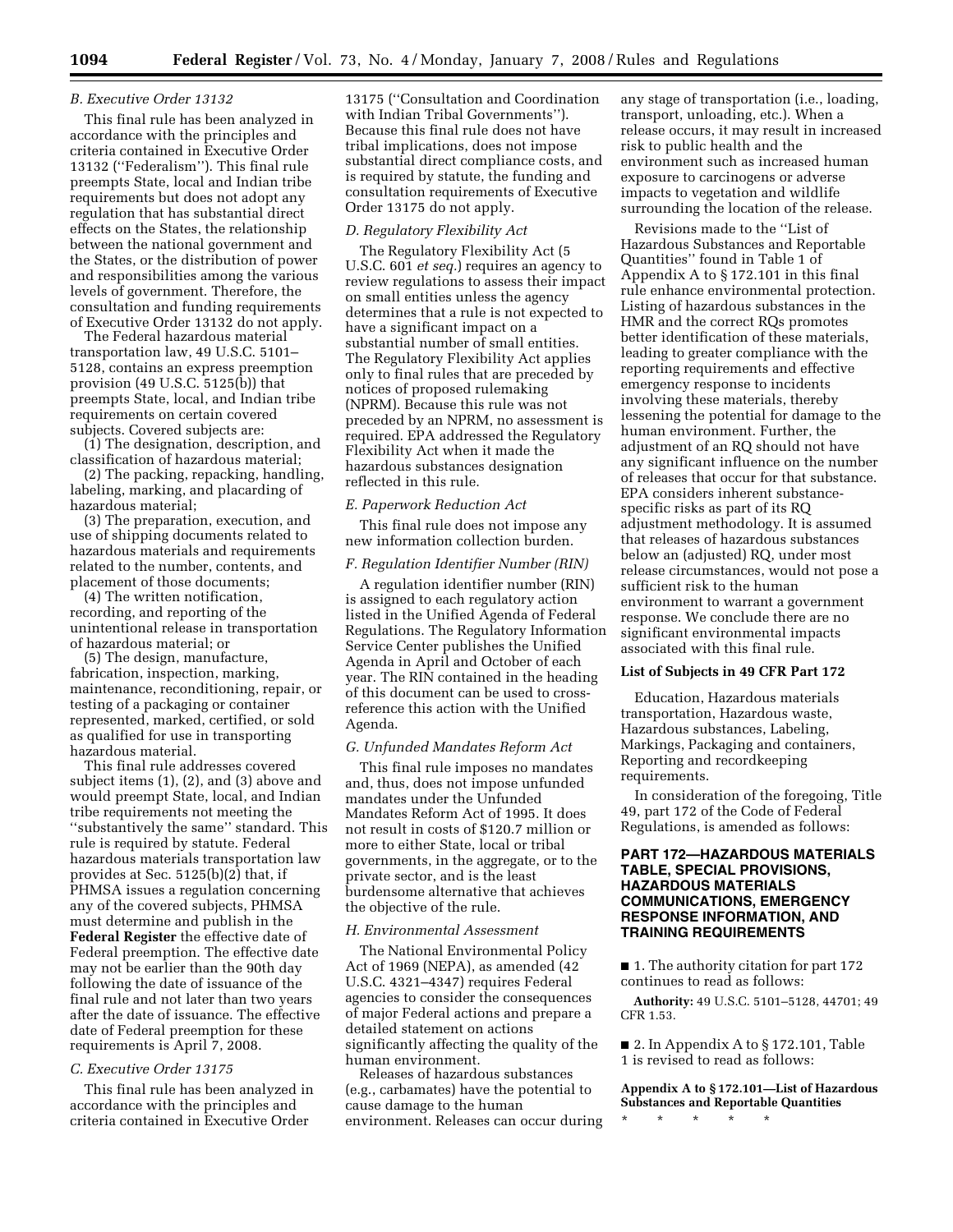#### *B. Executive Order 13132*

This final rule has been analyzed in accordance with the principles and criteria contained in Executive Order 13132 (''Federalism''). This final rule preempts State, local and Indian tribe requirements but does not adopt any regulation that has substantial direct effects on the States, the relationship between the national government and the States, or the distribution of power and responsibilities among the various levels of government. Therefore, the consultation and funding requirements of Executive Order 13132 do not apply.

The Federal hazardous material transportation law, 49 U.S.C. 5101– 5128, contains an express preemption provision (49 U.S.C. 5125(b)) that preempts State, local, and Indian tribe requirements on certain covered subjects. Covered subjects are:

(1) The designation, description, and classification of hazardous material;

(2) The packing, repacking, handling, labeling, marking, and placarding of hazardous material;

(3) The preparation, execution, and use of shipping documents related to hazardous materials and requirements related to the number, contents, and placement of those documents;

(4) The written notification, recording, and reporting of the unintentional release in transportation of hazardous material; or

(5) The design, manufacture, fabrication, inspection, marking, maintenance, reconditioning, repair, or testing of a packaging or container represented, marked, certified, or sold as qualified for use in transporting hazardous material.

This final rule addresses covered subject items (1), (2), and (3) above and would preempt State, local, and Indian tribe requirements not meeting the ''substantively the same'' standard. This rule is required by statute. Federal hazardous materials transportation law provides at Sec. 5125(b)(2) that, if PHMSA issues a regulation concerning any of the covered subjects, PHMSA must determine and publish in the **Federal Register** the effective date of Federal preemption. The effective date may not be earlier than the 90th day following the date of issuance of the final rule and not later than two years after the date of issuance. The effective date of Federal preemption for these requirements is April 7, 2008.

#### *C. Executive Order 13175*

This final rule has been analyzed in accordance with the principles and criteria contained in Executive Order

13175 (''Consultation and Coordination with Indian Tribal Governments''). Because this final rule does not have tribal implications, does not impose substantial direct compliance costs, and is required by statute, the funding and consultation requirements of Executive Order 13175 do not apply.

#### *D. Regulatory Flexibility Act*

The Regulatory Flexibility Act (5 U.S.C. 601 *et seq.*) requires an agency to review regulations to assess their impact on small entities unless the agency determines that a rule is not expected to have a significant impact on a substantial number of small entities. The Regulatory Flexibility Act applies only to final rules that are preceded by notices of proposed rulemaking (NPRM). Because this rule was not preceded by an NPRM, no assessment is required. EPA addressed the Regulatory Flexibility Act when it made the hazardous substances designation reflected in this rule.

#### *E. Paperwork Reduction Act*

This final rule does not impose any new information collection burden.

#### *F. Regulation Identifier Number (RIN)*

A regulation identifier number (RIN) is assigned to each regulatory action listed in the Unified Agenda of Federal Regulations. The Regulatory Information Service Center publishes the Unified Agenda in April and October of each year. The RIN contained in the heading of this document can be used to crossreference this action with the Unified Agenda.

#### *G. Unfunded Mandates Reform Act*

This final rule imposes no mandates and, thus, does not impose unfunded mandates under the Unfunded Mandates Reform Act of 1995. It does not result in costs of \$120.7 million or more to either State, local or tribal governments, in the aggregate, or to the private sector, and is the least burdensome alternative that achieves the objective of the rule.

#### *H. Environmental Assessment*

The National Environmental Policy Act of 1969 (NEPA), as amended (42 U.S.C. 4321–4347) requires Federal agencies to consider the consequences of major Federal actions and prepare a detailed statement on actions significantly affecting the quality of the human environment.

Releases of hazardous substances (e.g., carbamates) have the potential to cause damage to the human environment. Releases can occur during any stage of transportation (i.e., loading, transport, unloading, etc.). When a release occurs, it may result in increased risk to public health and the environment such as increased human exposure to carcinogens or adverse impacts to vegetation and wildlife surrounding the location of the release.

Revisions made to the ''List of Hazardous Substances and Reportable Quantities'' found in Table 1 of Appendix A to § 172.101 in this final rule enhance environmental protection. Listing of hazardous substances in the HMR and the correct RQs promotes better identification of these materials, leading to greater compliance with the reporting requirements and effective emergency response to incidents involving these materials, thereby lessening the potential for damage to the human environment. Further, the adjustment of an RQ should not have any significant influence on the number of releases that occur for that substance. EPA considers inherent substancespecific risks as part of its RQ adjustment methodology. It is assumed that releases of hazardous substances below an (adjusted) RQ, under most release circumstances, would not pose a sufficient risk to the human environment to warrant a government response. We conclude there are no significant environmental impacts associated with this final rule.

#### **List of Subjects in 49 CFR Part 172**

Education, Hazardous materials transportation, Hazardous waste, Hazardous substances, Labeling, Markings, Packaging and containers, Reporting and recordkeeping requirements.

In consideration of the foregoing, Title 49, part 172 of the Code of Federal Regulations, is amended as follows:

## **PART 172—HAZARDOUS MATERIALS TABLE, SPECIAL PROVISIONS, HAZARDOUS MATERIALS COMMUNICATIONS, EMERGENCY RESPONSE INFORMATION, AND TRAINING REQUIREMENTS**

■ 1. The authority citation for part 172 continues to read as follows:

**Authority:** 49 U.S.C. 5101–5128, 44701; 49 CFR 1.53.

■ 2. In Appendix A to § 172.101, Table 1 is revised to read as follows:

**Appendix A to § 172.101—List of Hazardous Substances and Reportable Quantities** 

\* \* \* \* \*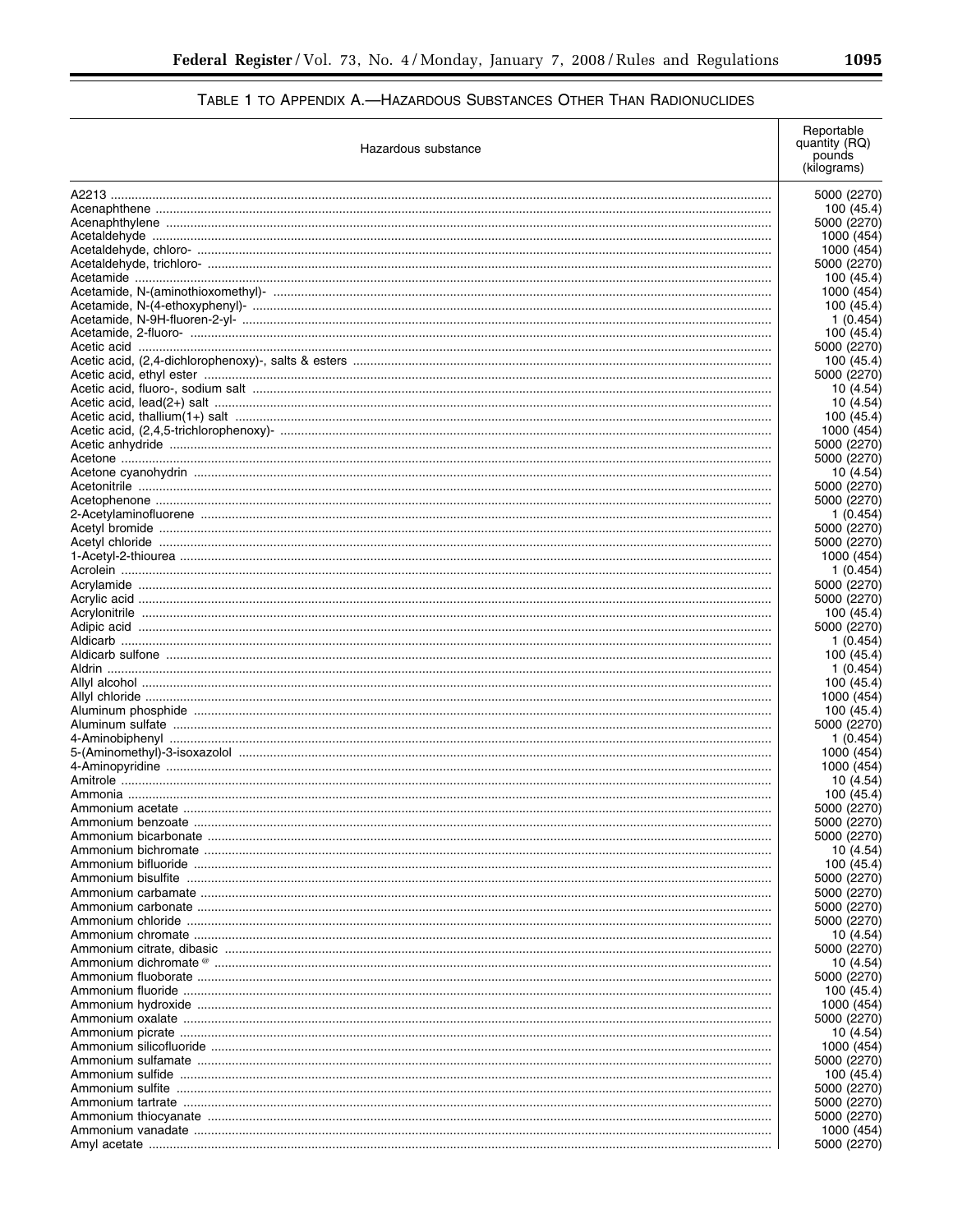| Hazardous substance | Reportable<br>quantity (RQ)<br>pounds<br>(kilograms) |
|---------------------|------------------------------------------------------|
|                     | 5000 (2270)                                          |
|                     | 100 (45.4)                                           |
|                     | 5000 (2270)                                          |
|                     | 1000 (454)                                           |
|                     | 1000 (454)                                           |
|                     | 5000 (2270)                                          |
|                     | 100 (45.4)<br>1000 (454)                             |
|                     | 100 (45.4)                                           |
|                     | 1 (0.454)                                            |
|                     | 100 (45.4)                                           |
|                     | 5000 (2270)                                          |
|                     | 100 (45.4)                                           |
|                     | 5000 (2270)                                          |
|                     | 10 (4.54)                                            |
|                     | 10 (4.54)                                            |
|                     | 100 (45.4)                                           |
|                     | 1000 (454)                                           |
|                     | 5000 (2270)                                          |
|                     | 5000 (2270)                                          |
|                     | 10 (4.54)<br>5000 (2270)                             |
|                     | 5000 (2270)                                          |
|                     | 1 (0.454)                                            |
|                     | 5000 (2270)                                          |
|                     | 5000 (2270)                                          |
|                     | 1000 (454)                                           |
|                     | 1 (0.454)                                            |
|                     | 5000 (2270)                                          |
|                     | 5000 (2270)                                          |
|                     | 100 (45.4)                                           |
|                     | 5000 (2270)                                          |
|                     | 1 (0.454)<br>100 (45.4)                              |
|                     | 1 (0.454)                                            |
|                     | 100 (45.4)                                           |
|                     | 1000 (454)                                           |
|                     | 100 (45.4)                                           |
|                     | 5000 (2270)                                          |
|                     | 1 (0.454)                                            |
|                     | 1000 (454)                                           |
|                     | 1000 (454)                                           |
|                     | 10 (4.54)                                            |
|                     | 100 (45.4)                                           |
|                     | 5000 (2270)                                          |
|                     | 5000 (2270)<br>5000 (2270)                           |
|                     | 10 (4.54)                                            |
|                     | 100 (45.4)                                           |
|                     | 5000 (2270)                                          |
|                     | 5000 (2270)                                          |
|                     | 5000 (2270)                                          |
|                     | 5000 (2270)                                          |
|                     | 10 (4.54)                                            |
|                     | 5000 (2270)                                          |
|                     | 10 (4.54)                                            |
|                     | 5000 (2270)                                          |
|                     | 100 (45.4)                                           |
|                     | 1000 (454)                                           |
|                     | 5000 (2270)                                          |
|                     | 10 (4.54)<br>1000 (454)                              |
|                     | 5000 (2270)                                          |
|                     | 100 (45.4)                                           |
|                     | 5000 (2270)                                          |
|                     | 5000 (2270)                                          |
|                     | 5000 (2270)                                          |
|                     | 1000 (454)                                           |
|                     | 5000 (2270)                                          |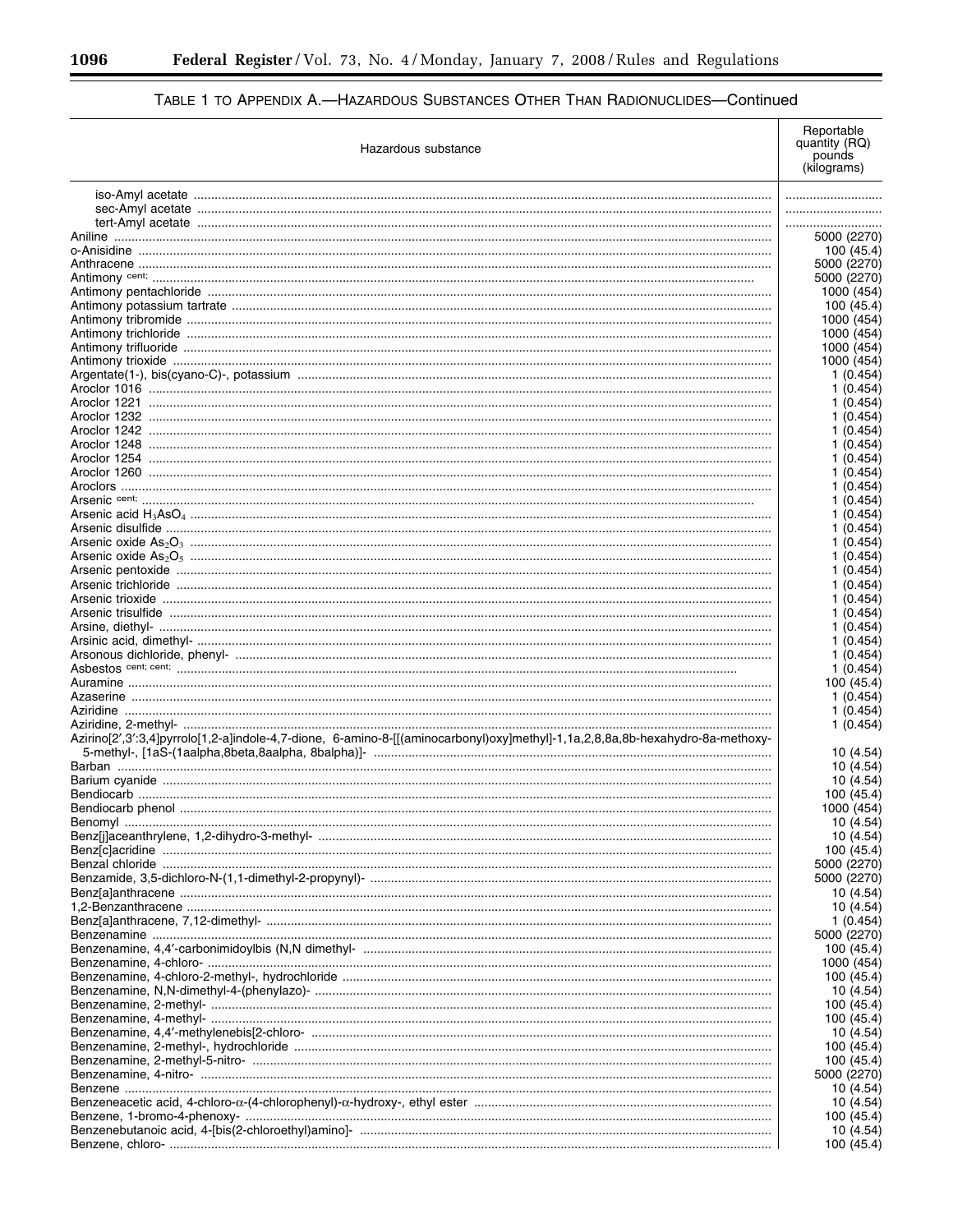۲

# TABLE 1 TO APPENDIX A.-HAZARDOUS SUBSTANCES OTHER THAN RADIONUCLIDES-Continued

| Hazardous substance                                                                                                           | Reportable<br>quantity (RQ)<br>pounds |
|-------------------------------------------------------------------------------------------------------------------------------|---------------------------------------|
|                                                                                                                               | (kilograms)                           |
|                                                                                                                               |                                       |
|                                                                                                                               |                                       |
|                                                                                                                               |                                       |
|                                                                                                                               | 5000 (2270)                           |
|                                                                                                                               | 100 (45.4)<br>5000 (2270)             |
|                                                                                                                               | 5000 (2270)                           |
|                                                                                                                               | 1000 (454                             |
|                                                                                                                               | 100 (45.4)                            |
|                                                                                                                               | 1000 (454)                            |
|                                                                                                                               | 1000 (454                             |
|                                                                                                                               | 1000 (454)<br>1000 (454               |
|                                                                                                                               | 1 (0.454)                             |
|                                                                                                                               | 1(0.454)                              |
|                                                                                                                               | 1(0.454)                              |
|                                                                                                                               | 1(0.454)                              |
|                                                                                                                               | 1(0.454)                              |
|                                                                                                                               | 1(0.454)<br>1(0.454)                  |
|                                                                                                                               | 1(0.454)                              |
|                                                                                                                               | 1(0.454)                              |
|                                                                                                                               | 1(0.454)                              |
|                                                                                                                               | 1(0.454)                              |
|                                                                                                                               | 1(0.454)                              |
|                                                                                                                               | 1(0.454)<br>1(0.454)                  |
|                                                                                                                               | 1(0.454)                              |
|                                                                                                                               | 1(0.454)                              |
|                                                                                                                               | 1(0.454)                              |
|                                                                                                                               | 1(0.454)                              |
|                                                                                                                               | 1(0.454)                              |
|                                                                                                                               | 1(0.454)                              |
|                                                                                                                               | 1(0.454)<br>1(0.454)                  |
|                                                                                                                               | 100 (45.4)                            |
|                                                                                                                               | 1 (0.454)                             |
|                                                                                                                               | 1 (0.454)                             |
|                                                                                                                               | 1(0.454)                              |
| Azirino[2',3':3,4]pyrrolo[1,2-a]indole-4,7-dione, 6-amino-8-[[(aminocarbonyl)oxy]methyl]-1,1a,2,8,8a,8b-hexahydro-8a-methoxy- | 10 (4.54)                             |
|                                                                                                                               | 10 (4.54)                             |
|                                                                                                                               | 10 (4.54)                             |
|                                                                                                                               | 100 (45.4)                            |
|                                                                                                                               | 1000 (454)<br>10 (4.54)               |
|                                                                                                                               | 10 (4.54)                             |
|                                                                                                                               | 100 (45.4)                            |
|                                                                                                                               | 5000 (2270)                           |
|                                                                                                                               | 5000 (2270)<br>10 (4.54)              |
|                                                                                                                               | 10 (4.54)                             |
|                                                                                                                               | 1 (0.454)<br>5000 (2270)              |
|                                                                                                                               | 100 (45.4)                            |
|                                                                                                                               | 1000 (454)                            |
|                                                                                                                               | 100 (45.4)                            |
|                                                                                                                               | 10 (4.54)                             |
|                                                                                                                               | 100 (45.4)                            |
|                                                                                                                               | 100 (45.4)<br>10 (4.54)               |
|                                                                                                                               | 100 (45.4)                            |
|                                                                                                                               | 100 (45.4)                            |
|                                                                                                                               | 5000 (2270                            |
|                                                                                                                               | 10 (4.54)                             |
|                                                                                                                               | 10 (4.54)                             |
|                                                                                                                               | 100 (45.4)<br>10 (4.54)               |
|                                                                                                                               | 100 (45.4)                            |
|                                                                                                                               |                                       |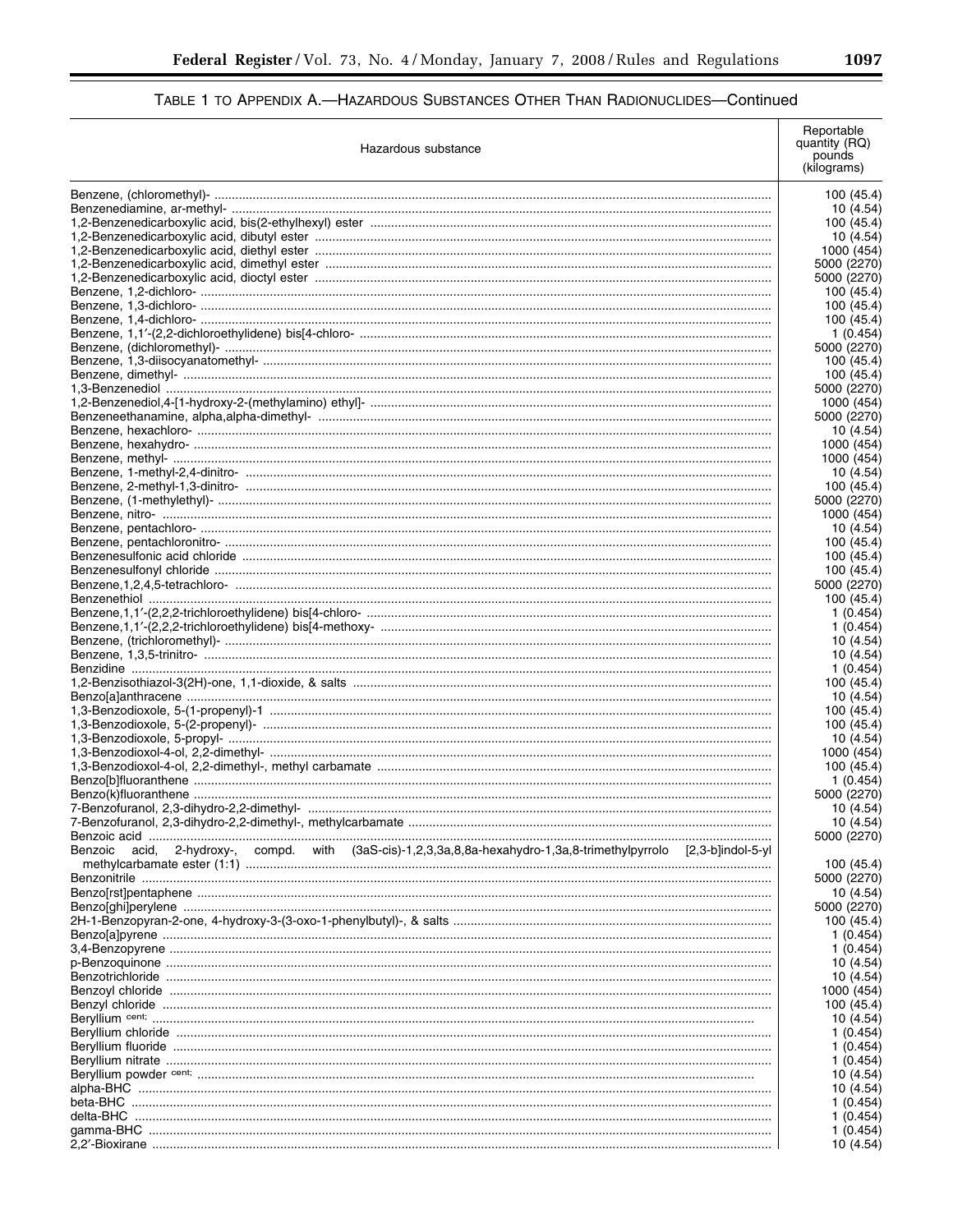| Hazardous substance                                                                                                  | Reportable<br>quantity (RQ)<br>pounds<br>(kilograms) |
|----------------------------------------------------------------------------------------------------------------------|------------------------------------------------------|
|                                                                                                                      | 100 (45.4)                                           |
|                                                                                                                      | 10 (4.54)                                            |
|                                                                                                                      | 100 (45.4)                                           |
|                                                                                                                      | 10 (4.54)                                            |
|                                                                                                                      | 1000 (454)<br>5000 (2270)                            |
|                                                                                                                      | 5000 (2270)                                          |
|                                                                                                                      | 100 (45.4)                                           |
|                                                                                                                      | 100(45.4)                                            |
|                                                                                                                      | 100 (45.4)                                           |
|                                                                                                                      | 1 (0.454)                                            |
|                                                                                                                      | 5000 (2270)<br>100 (45.4)                            |
|                                                                                                                      | 100 (45.4)                                           |
|                                                                                                                      | 5000 (2270)                                          |
|                                                                                                                      | 1000 (454)                                           |
|                                                                                                                      | 5000 (2270)                                          |
|                                                                                                                      | 10 (4.54)                                            |
|                                                                                                                      | 1000 (454)                                           |
|                                                                                                                      | 1000 (454)<br>10 (4.54)                              |
|                                                                                                                      | 100 (45.4)                                           |
|                                                                                                                      | 5000 (2270)                                          |
|                                                                                                                      | 1000 (454)                                           |
|                                                                                                                      | 10 (4.54)                                            |
|                                                                                                                      | 100 (45.4)                                           |
|                                                                                                                      | 100 (45.4)                                           |
|                                                                                                                      | 100 (45.4)<br>5000 (2270)                            |
|                                                                                                                      | 100 (45.4)                                           |
|                                                                                                                      | 1 (0.454)                                            |
|                                                                                                                      | 1 (0.454)                                            |
|                                                                                                                      | 10 (4.54)                                            |
|                                                                                                                      | 10 (4.54)                                            |
|                                                                                                                      | 1 (0.454)<br>100 (45.4)                              |
|                                                                                                                      | 10 (4.54)                                            |
|                                                                                                                      | 100 (45.4)                                           |
|                                                                                                                      | 100 (45.4)                                           |
|                                                                                                                      | 10 (4.54)                                            |
|                                                                                                                      | 1000 (454)                                           |
|                                                                                                                      | 100 (45.4)                                           |
|                                                                                                                      | 1 (0.454)<br>5000 (2270)                             |
|                                                                                                                      | 10 (4.54)                                            |
|                                                                                                                      | 10 (4.54)                                            |
|                                                                                                                      | 5000 (2270)                                          |
| acid, 2-hydroxy-, compd. with (3aS-cis)-1,2,3,3a,8,8a-hexahydro-1,3a,8-trimethylpyrrolo [2,3-b]indol-5-yl<br>Benzoic |                                                      |
|                                                                                                                      | 100 (45.4)<br>5000 (2270)                            |
|                                                                                                                      | 10 (4.54)                                            |
|                                                                                                                      | 5000 (2270)                                          |
|                                                                                                                      | 100 (45.4)                                           |
|                                                                                                                      | 1 (0.454)                                            |
|                                                                                                                      | 1(0.454)                                             |
|                                                                                                                      | 10 (4.54)                                            |
|                                                                                                                      | 10 (4.54)                                            |
|                                                                                                                      | 1000 (454)<br>100 (45.4)                             |
|                                                                                                                      | 10 (4.54)                                            |
|                                                                                                                      | 1(0.454)                                             |
|                                                                                                                      | 1(0.454)                                             |
|                                                                                                                      | 1 (0.454)                                            |
|                                                                                                                      | 10 (4.54)                                            |
|                                                                                                                      | 10 (4.54)<br>1(0.454)                                |
|                                                                                                                      | 1 (0.454)                                            |
|                                                                                                                      | 1(0.454)                                             |
|                                                                                                                      | 10 (4.54)                                            |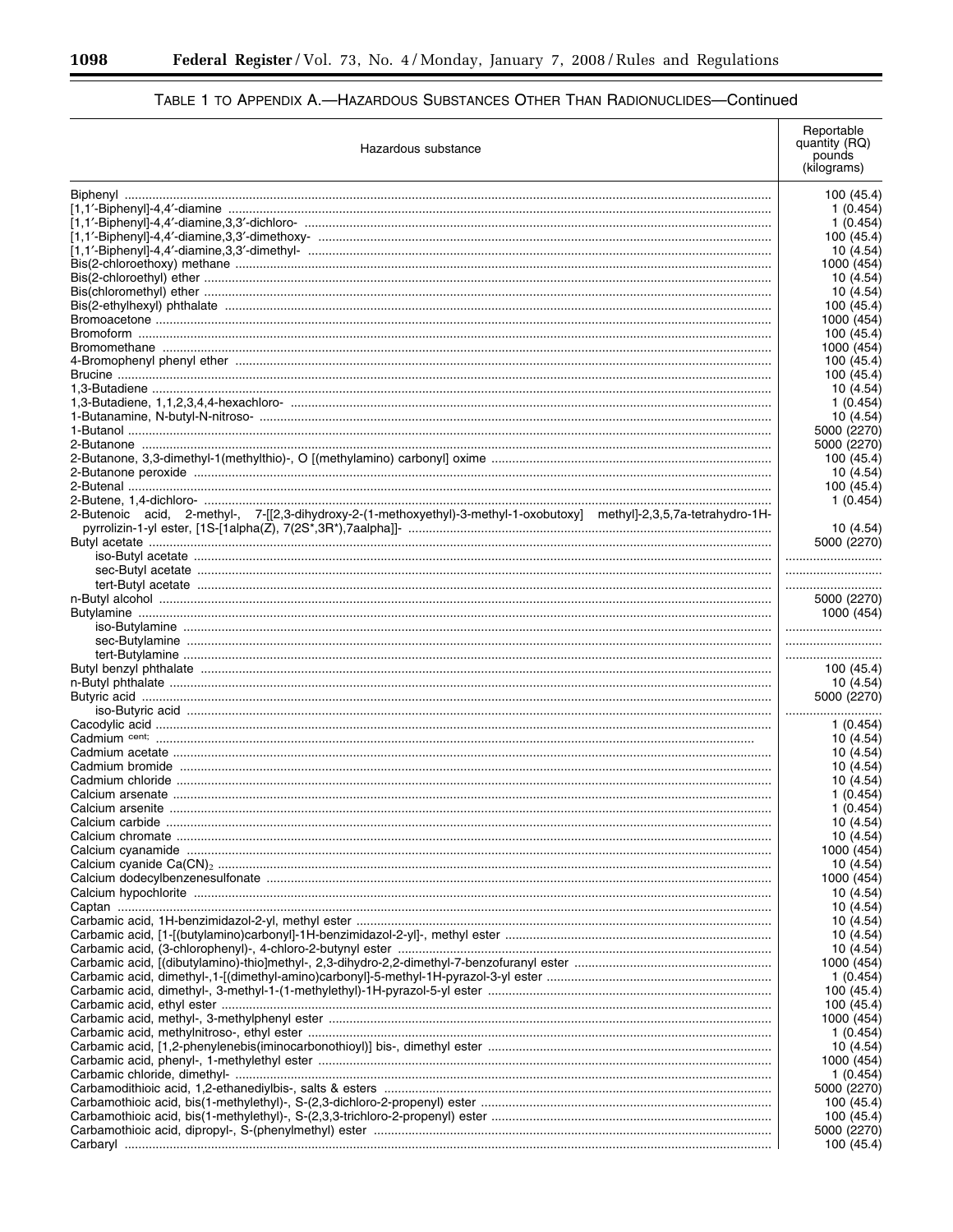| Hazardous substance                                                                                                    | Reportable<br>quantity (RQ)<br>pounds<br>(kilograms) |
|------------------------------------------------------------------------------------------------------------------------|------------------------------------------------------|
|                                                                                                                        | 100 (45.4)                                           |
|                                                                                                                        | 1 (0.454)                                            |
|                                                                                                                        | 1(0.454)                                             |
|                                                                                                                        | 100 (45.4)                                           |
|                                                                                                                        | 10 (4.54)                                            |
|                                                                                                                        | 1000 (454)                                           |
|                                                                                                                        | 10 (4.54)                                            |
|                                                                                                                        | 10 (4.54)<br>100 (45.4)                              |
|                                                                                                                        | 1000 (454)                                           |
|                                                                                                                        | 100 (45.4)                                           |
|                                                                                                                        | 1000 (454)                                           |
|                                                                                                                        | 100 (45.4)                                           |
|                                                                                                                        | 100 (45.4)                                           |
|                                                                                                                        | 10 (4.54)                                            |
|                                                                                                                        | 1 (0.454)                                            |
|                                                                                                                        | 10 (4.54)                                            |
|                                                                                                                        | 5000 (2270)                                          |
|                                                                                                                        | 5000 (2270)                                          |
|                                                                                                                        | 100 (45.4)                                           |
|                                                                                                                        | 10 (4.54)                                            |
|                                                                                                                        | 100 (45.4)<br>1(0.454)                               |
| 2-Butenoic acid, 2-methyl-, 7-[[2,3-dihydroxy-2-(1-methoxyethyl)-3-methyl-1-oxobutoxy] methyl]-2,3,5,7a-tetrahydro-1H- | 10(4.54)                                             |
|                                                                                                                        | 5000 (2270)                                          |
|                                                                                                                        |                                                      |
|                                                                                                                        |                                                      |
|                                                                                                                        |                                                      |
|                                                                                                                        | 5000 (2270)                                          |
|                                                                                                                        | 1000 (454)                                           |
|                                                                                                                        |                                                      |
|                                                                                                                        |                                                      |
|                                                                                                                        |                                                      |
|                                                                                                                        | 100 (45.4)                                           |
|                                                                                                                        | 10 (4.54)                                            |
|                                                                                                                        | 5000 (2270)                                          |
|                                                                                                                        |                                                      |
|                                                                                                                        | 1(0.454)<br>10 (4.54)                                |
|                                                                                                                        | 10 (4.54)                                            |
|                                                                                                                        | 10 (4.54)                                            |
|                                                                                                                        | 10 (4.54)                                            |
|                                                                                                                        | 1 (0.454)                                            |
|                                                                                                                        | 1(0.454)                                             |
|                                                                                                                        | 10(4.54)                                             |
|                                                                                                                        | 10 (4.54)                                            |
|                                                                                                                        | 1000 (454)                                           |
|                                                                                                                        | 10 (4.54)                                            |
|                                                                                                                        | 1000 (454)                                           |
|                                                                                                                        | 10 (4.54)                                            |
|                                                                                                                        | 10 (4.54)                                            |
|                                                                                                                        | 10 (4.54)                                            |
|                                                                                                                        | 10 (4.54)                                            |
|                                                                                                                        | 10 (4.54)                                            |
|                                                                                                                        | 1000 (454)                                           |
|                                                                                                                        | 1 (0.454)                                            |
|                                                                                                                        | 100 (45.4)<br>100 (45.4)                             |
|                                                                                                                        | 1000 (454)                                           |
|                                                                                                                        | 1 (0.454)                                            |
|                                                                                                                        | 10 (4.54)                                            |
|                                                                                                                        | 1000 (454)                                           |
|                                                                                                                        | 1 (0.454)                                            |
|                                                                                                                        | 5000 (2270)                                          |
|                                                                                                                        | 100 (45.4)                                           |
|                                                                                                                        | 100 (45.4)                                           |
|                                                                                                                        | 5000 (2270)                                          |
|                                                                                                                        | 100 (45.4)                                           |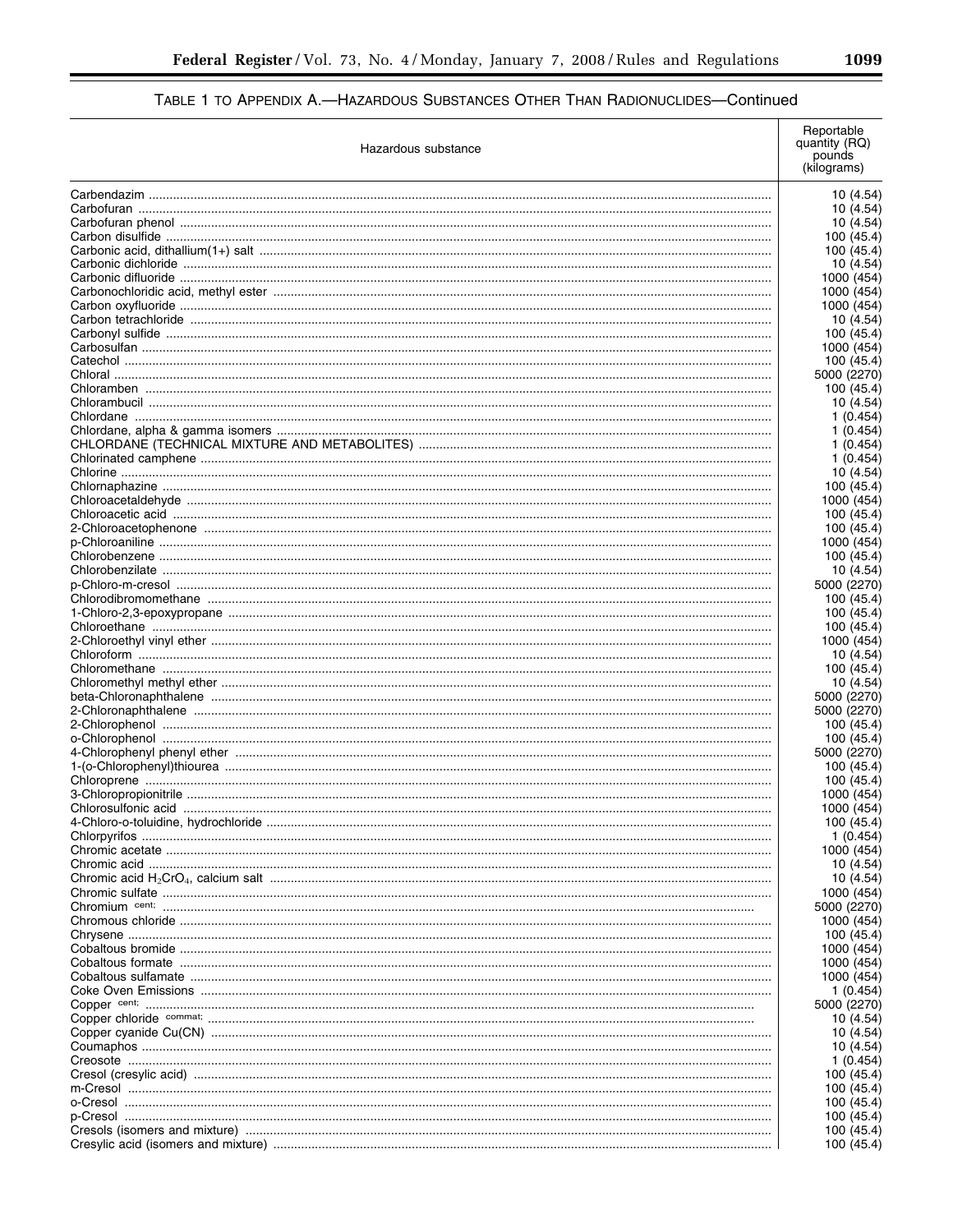| Hazardous substance | Reportable<br>quantity (RQ)<br>pounds<br>(kilograms) |
|---------------------|------------------------------------------------------|
|                     | 10 (4.54)                                            |
|                     | 10 (4.54)                                            |
|                     | 10 (4.54)                                            |
|                     | 100 (45.4)                                           |
|                     | 100 (45.4)                                           |
|                     | 10 (4.54)                                            |
|                     | 1000 (454)<br>1000 (454)                             |
|                     | 1000 (454)                                           |
|                     | 10 (4.54)                                            |
|                     | 100 (45.4)                                           |
|                     | 1000 (454)                                           |
|                     | 100 (45.4)                                           |
|                     | 5000 (2270)                                          |
|                     | 100 (45.4)                                           |
|                     | 10 (4.54)                                            |
|                     | 1 (0.454)                                            |
|                     | 1(0.454)                                             |
|                     | 1 (0.454)<br>1(0.454)                                |
|                     | 10 (4.54)                                            |
|                     | 100 (45.4)                                           |
|                     | 1000 (454)                                           |
|                     | 100(45.4)                                            |
|                     | 100 (45.4)                                           |
|                     | 1000 (454)                                           |
|                     | 100 (45.4)                                           |
|                     | 10 (4.54)                                            |
|                     | 5000 (2270)                                          |
|                     | 100 (45.4)                                           |
|                     | 100 (45.4)                                           |
|                     | 100 (45.4)                                           |
|                     | 1000 (454)<br>10 (4.54)                              |
|                     | 100 (45.4)                                           |
|                     | 10 (4.54)                                            |
|                     | 5000 (2270)                                          |
|                     | 5000 (2270)                                          |
|                     | 100 (45.4)                                           |
|                     | 100 (45.4)                                           |
|                     | 5000 (2270)                                          |
|                     | 100 (45.4)                                           |
|                     | 100 (45.4)                                           |
|                     | 1000 (454)                                           |
|                     | 1000 (454)                                           |
|                     | 100 (45.4)<br>1 (0.454)                              |
|                     | 1000 (454)                                           |
|                     | 10 (4.54)                                            |
|                     | 10 (4.54)                                            |
|                     | 1000 (454)                                           |
|                     | 5000 (2270)                                          |
|                     | 1000 (454)                                           |
|                     | 100 (45.4)                                           |
|                     | 1000 (454)                                           |
|                     | 1000 (454)                                           |
|                     | 1000 (454)                                           |
|                     | 1 (0.454)                                            |
|                     | 5000 (2270)                                          |
|                     | 10 (4.54)                                            |
|                     | 10 (4.54)<br>10 (4.54)                               |
|                     | 1 (0.454)                                            |
|                     | 100 (45.4)                                           |
|                     | 100 (45.4)                                           |
|                     | 100 (45.4)                                           |
|                     | 100 (45.4)                                           |
|                     | 100 (45.4)                                           |
|                     | 100 (45.4)                                           |

 $\equiv$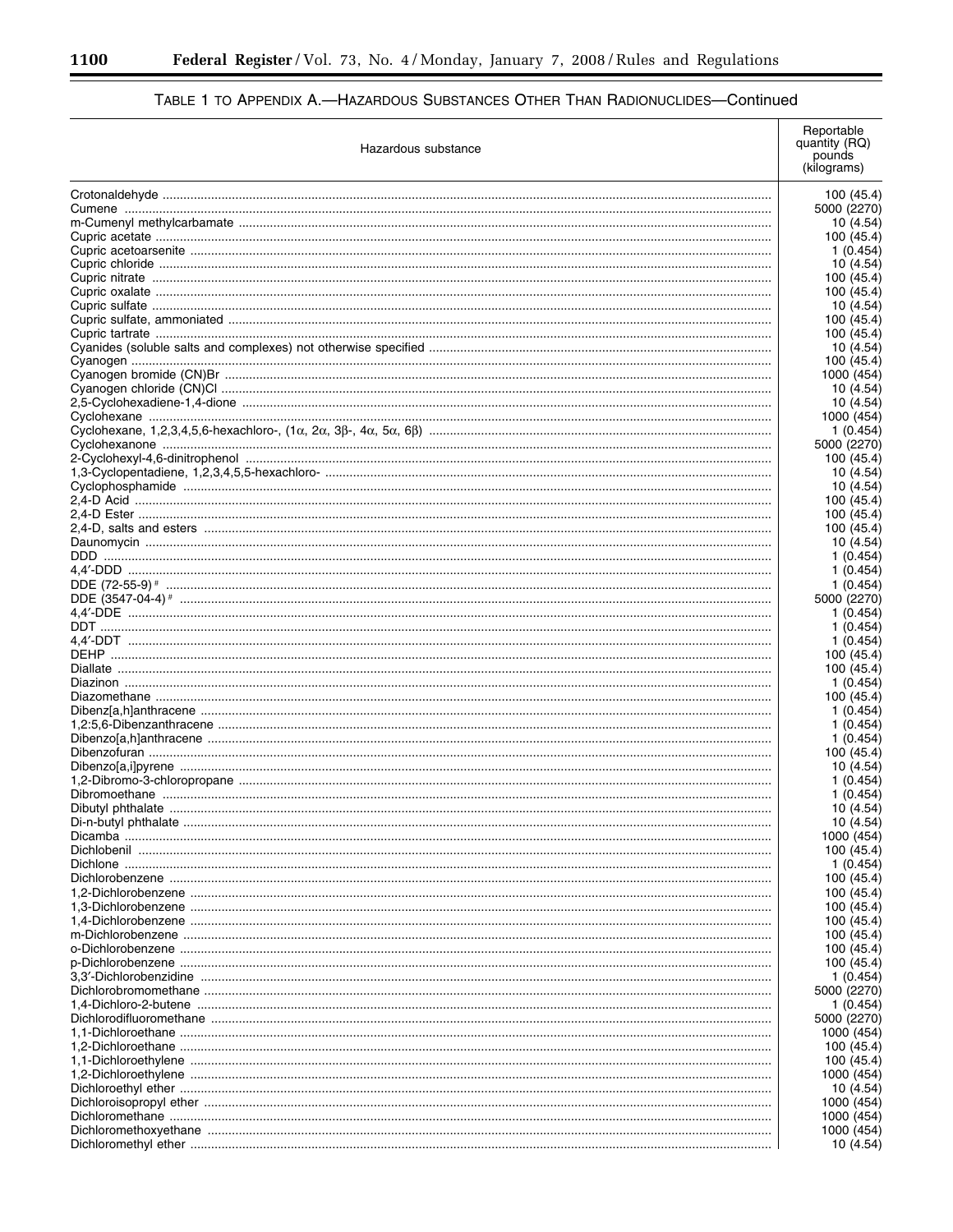Ξ

۲

| Hazardous substance | Reportable<br>quantity (RQ)<br>pounds<br>(kilograms) |
|---------------------|------------------------------------------------------|
|                     | 100 (45.4)                                           |
|                     | 5000 (2270)                                          |
|                     | 10 (4.54)                                            |
|                     | 100 (45.4)                                           |
|                     | 1 (0.454                                             |
|                     | 10 (4.54)<br>100 (45.4)                              |
|                     | 100 (45.4)                                           |
|                     | 10(4.54)                                             |
|                     | 100 (45.4)                                           |
|                     | 100 (45.4)                                           |
|                     | 10 (4.54)<br>100 (45.4)                              |
|                     | 1000 (454                                            |
|                     | 10 (4.54)                                            |
|                     | 10 (4.54)                                            |
|                     | 1000 (454                                            |
|                     | 1 (0.454)                                            |
|                     | 5000 (2270)                                          |
|                     | 100 (45.4)                                           |
|                     | 10 (4.54)<br>10 (4.54)                               |
|                     | 100 (45.4)                                           |
|                     | 100 (45.4)                                           |
|                     | 100 (45.4)                                           |
|                     | 10 (4.54)                                            |
|                     | 1 (0.454)                                            |
|                     | 1 (0.454)                                            |
|                     | 1(0.454)                                             |
|                     | 5000 (2270)<br>1 (0.454)                             |
|                     | 1 (0.454)                                            |
|                     | 1(0.454)                                             |
|                     | 100 (45.4)                                           |
|                     | 100 (45.4)                                           |
|                     | 1 (0.454)                                            |
|                     | 100 (45.4)                                           |
|                     | 1 (0.454)<br>1(0.454)                                |
|                     | 1 (0.454)                                            |
|                     | 100 (45.4)                                           |
|                     | 10 (4.54)                                            |
|                     | 1(0.454)                                             |
|                     | 1 (0.454)                                            |
|                     | 10 (4.54)                                            |
|                     | 10 (4.54)<br>1000 (454)                              |
|                     | 100 (45.4)                                           |
|                     | 1(0.454)                                             |
|                     | 100 (45.4)                                           |
|                     | 100 (45.4)                                           |
|                     | 100 (45.4)                                           |
|                     | 100 (45.4)                                           |
|                     | 100 (45.4)                                           |
|                     | 100 (45.4)<br>100 (45.4)                             |
|                     | 1 (0.454)                                            |
|                     | 5000 (2270)                                          |
|                     | 1 (0.454)                                            |
|                     | 5000 (2270)                                          |
|                     | 1000 (454                                            |
|                     | 100 (45.4)                                           |
|                     | 100 (45.4)                                           |
|                     | 1000 (454<br>10 (4.54)                               |
|                     | 1000 (454                                            |
|                     | 1000 (454                                            |
|                     | 1000 (454                                            |
|                     | 10 (4.54)                                            |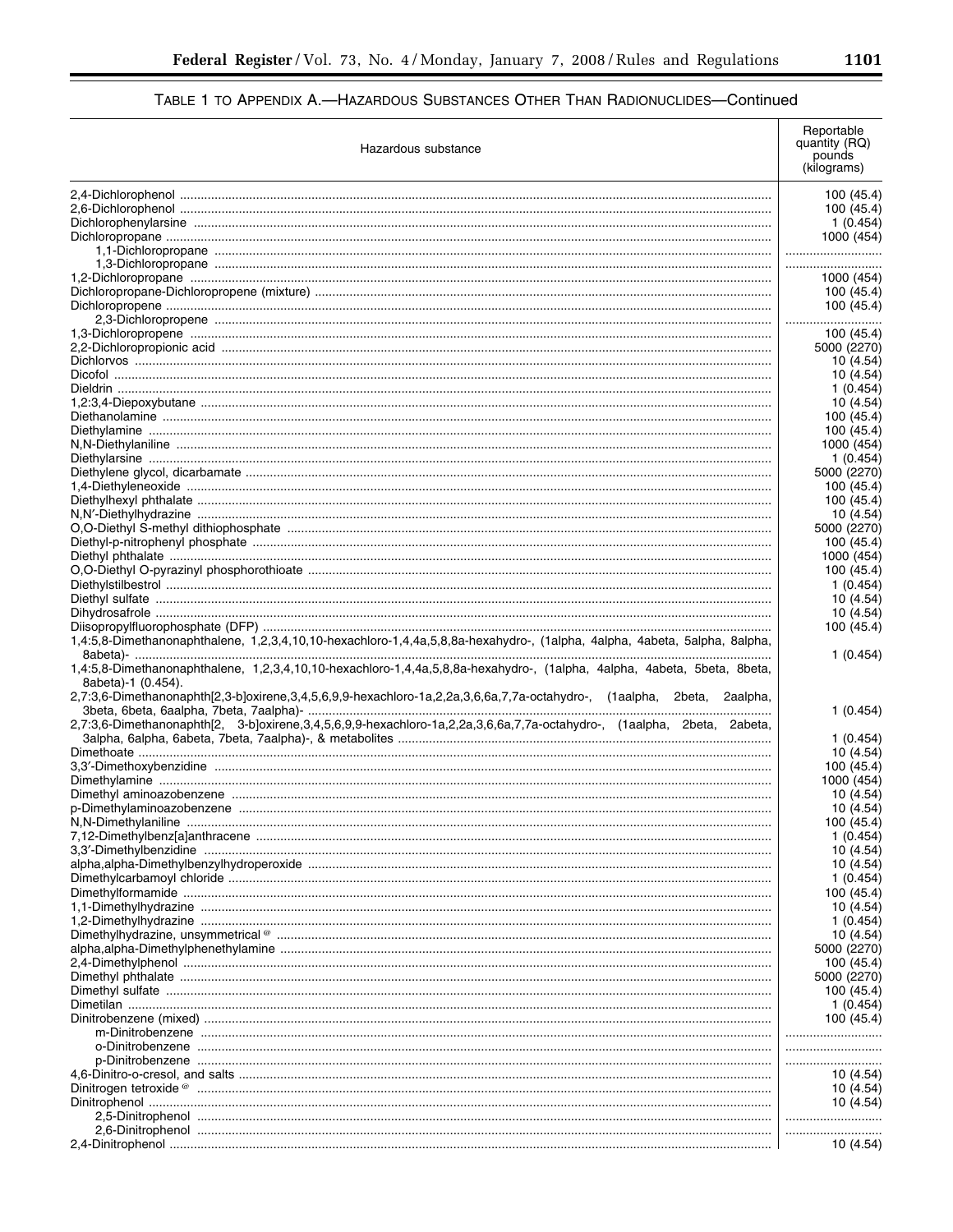| Hazardous substance                                                                                                                                                                                                                                                                                                                                                                               | Reportable<br>quantity (RQ)<br>pounds<br>(kilograms) |
|---------------------------------------------------------------------------------------------------------------------------------------------------------------------------------------------------------------------------------------------------------------------------------------------------------------------------------------------------------------------------------------------------|------------------------------------------------------|
|                                                                                                                                                                                                                                                                                                                                                                                                   | 100 (45.4)                                           |
|                                                                                                                                                                                                                                                                                                                                                                                                   | 100 (45.4)                                           |
|                                                                                                                                                                                                                                                                                                                                                                                                   | 1 (0.454)                                            |
|                                                                                                                                                                                                                                                                                                                                                                                                   | 1000 (454)                                           |
|                                                                                                                                                                                                                                                                                                                                                                                                   |                                                      |
|                                                                                                                                                                                                                                                                                                                                                                                                   |                                                      |
|                                                                                                                                                                                                                                                                                                                                                                                                   | 1000 (454)                                           |
|                                                                                                                                                                                                                                                                                                                                                                                                   | 100 (45.4)<br>100 (45.4)                             |
|                                                                                                                                                                                                                                                                                                                                                                                                   |                                                      |
|                                                                                                                                                                                                                                                                                                                                                                                                   | <br>100 (45.4)                                       |
|                                                                                                                                                                                                                                                                                                                                                                                                   | 5000 (2270)                                          |
|                                                                                                                                                                                                                                                                                                                                                                                                   | 10 (4.54)                                            |
|                                                                                                                                                                                                                                                                                                                                                                                                   | 10 (4.54)                                            |
|                                                                                                                                                                                                                                                                                                                                                                                                   | 1(0.454)                                             |
|                                                                                                                                                                                                                                                                                                                                                                                                   | 10 (4.54)                                            |
|                                                                                                                                                                                                                                                                                                                                                                                                   | 100 (45.4)                                           |
|                                                                                                                                                                                                                                                                                                                                                                                                   | 100 (45.4)                                           |
|                                                                                                                                                                                                                                                                                                                                                                                                   | 1000 (454)                                           |
|                                                                                                                                                                                                                                                                                                                                                                                                   | 1(0.454)                                             |
|                                                                                                                                                                                                                                                                                                                                                                                                   | 5000 (2270)                                          |
|                                                                                                                                                                                                                                                                                                                                                                                                   | 100 (45.4)                                           |
|                                                                                                                                                                                                                                                                                                                                                                                                   | 100 (45.4)                                           |
|                                                                                                                                                                                                                                                                                                                                                                                                   | 10 (4.54)<br>5000 (2270)                             |
|                                                                                                                                                                                                                                                                                                                                                                                                   | 100 (45.4)                                           |
|                                                                                                                                                                                                                                                                                                                                                                                                   | 1000 (454)                                           |
|                                                                                                                                                                                                                                                                                                                                                                                                   | 100 (45.4)                                           |
|                                                                                                                                                                                                                                                                                                                                                                                                   | 1 (0.454)                                            |
|                                                                                                                                                                                                                                                                                                                                                                                                   | 10 (4.54)                                            |
|                                                                                                                                                                                                                                                                                                                                                                                                   | 10 (4.54)                                            |
| 1,4:5,8-Dimethanonaphthalene, 1,2,3,4,10,10-hexachloro-1,4,4a,5,8,8a-hexahydro-, (1alpha, 4alpha, 4abeta, 5alpha, 8alpha,                                                                                                                                                                                                                                                                         | 100 (45.4)                                           |
| 1,4:5,8-Dimethanonaphthalene, 1,2,3,4,10,10-hexachloro-1,4,4a,5,8,8a-hexahydro-, (1alpha, 4alpha, 4abeta, 5beta, 8beta,<br>8abeta)-1 (0.454).<br>2,7:3,6-Dimethanonaphth[2,3-b]oxirene,3,4,5,6,9,9-hexachloro-1a,2,2a,3,6,6a,7,7a-octahydro-, (1aalpha, 2beta, 2aalpha,<br>2,7:3,6-Dimethanonaphth[2, 3-b]oxirene,3,4,5,6,9,9-hexachloro-1a,2,2a,3,6,6a,7,7a-octahydro-, (1aalpha, 2beta, 2abeta, | 1(0.454)<br>1(0.454)<br>1(0.454)                     |
|                                                                                                                                                                                                                                                                                                                                                                                                   | 10 (4.54)                                            |
|                                                                                                                                                                                                                                                                                                                                                                                                   | 100 (45.4)                                           |
|                                                                                                                                                                                                                                                                                                                                                                                                   | 1000 (454)                                           |
|                                                                                                                                                                                                                                                                                                                                                                                                   | 10 (4.54)                                            |
|                                                                                                                                                                                                                                                                                                                                                                                                   | 10 (4.54)                                            |
|                                                                                                                                                                                                                                                                                                                                                                                                   | 100 (45.4)                                           |
|                                                                                                                                                                                                                                                                                                                                                                                                   | 1(0.454)                                             |
|                                                                                                                                                                                                                                                                                                                                                                                                   | 10 (4.54)                                            |
|                                                                                                                                                                                                                                                                                                                                                                                                   | 10 (4.54)                                            |
|                                                                                                                                                                                                                                                                                                                                                                                                   | 1(0.454)                                             |
|                                                                                                                                                                                                                                                                                                                                                                                                   | 100 (45.4)<br>10 (4.54)                              |
|                                                                                                                                                                                                                                                                                                                                                                                                   | 1(0.454)                                             |
|                                                                                                                                                                                                                                                                                                                                                                                                   | 10 (4.54)                                            |
|                                                                                                                                                                                                                                                                                                                                                                                                   | 5000 (2270)                                          |
|                                                                                                                                                                                                                                                                                                                                                                                                   | 100 (45.4)                                           |
|                                                                                                                                                                                                                                                                                                                                                                                                   | 5000 (2270)                                          |
|                                                                                                                                                                                                                                                                                                                                                                                                   | 100 (45.4)                                           |
|                                                                                                                                                                                                                                                                                                                                                                                                   | 1(0.454)                                             |
|                                                                                                                                                                                                                                                                                                                                                                                                   | 100 (45.4)                                           |
|                                                                                                                                                                                                                                                                                                                                                                                                   |                                                      |
|                                                                                                                                                                                                                                                                                                                                                                                                   |                                                      |
|                                                                                                                                                                                                                                                                                                                                                                                                   |                                                      |
|                                                                                                                                                                                                                                                                                                                                                                                                   | 10 (4.54)                                            |
|                                                                                                                                                                                                                                                                                                                                                                                                   | 10 (4.54)                                            |
|                                                                                                                                                                                                                                                                                                                                                                                                   | 10 (4.54)                                            |
|                                                                                                                                                                                                                                                                                                                                                                                                   |                                                      |
|                                                                                                                                                                                                                                                                                                                                                                                                   |                                                      |
|                                                                                                                                                                                                                                                                                                                                                                                                   | 10 (4.54)                                            |

 $\equiv$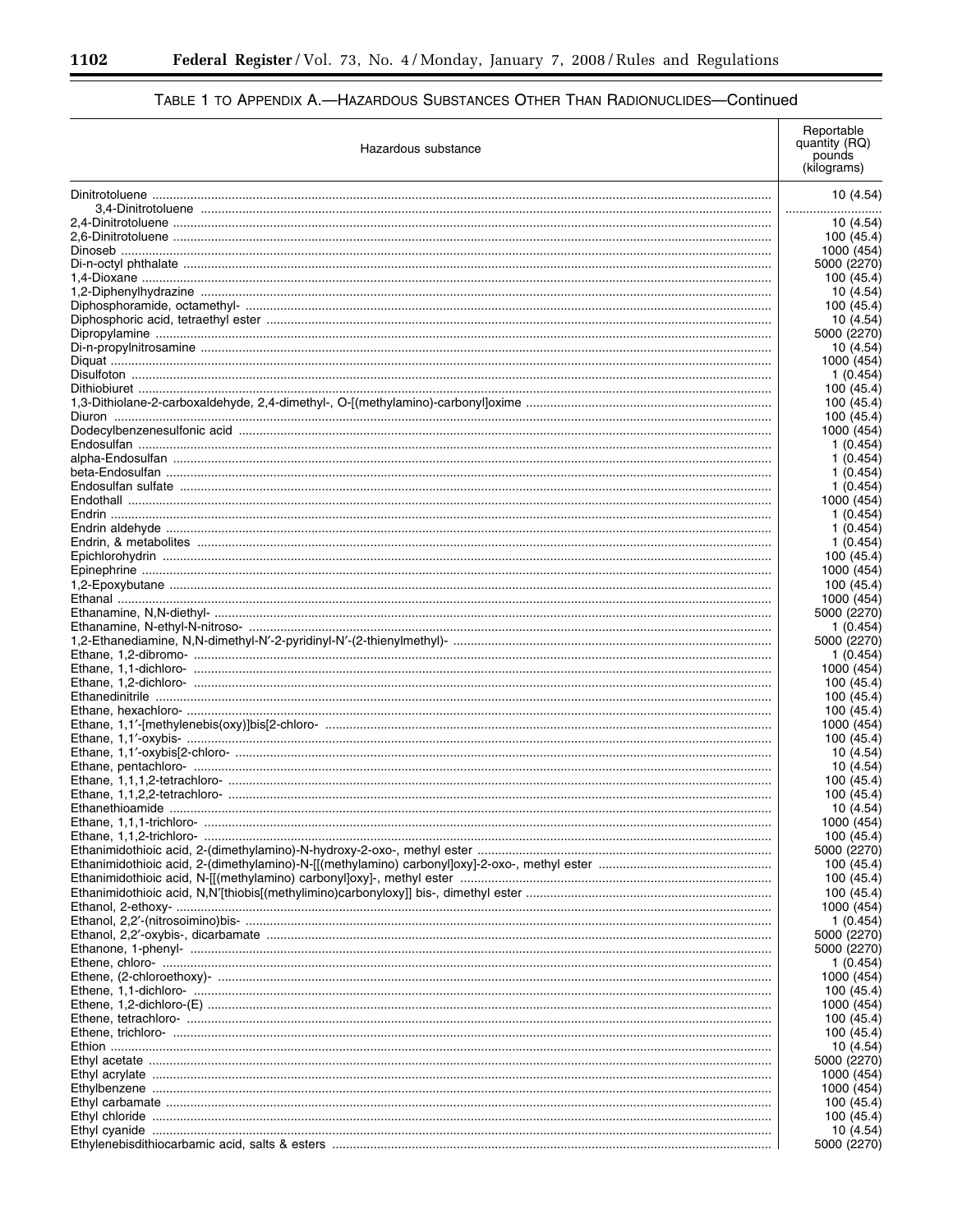-

# TABLE 1 TO APPENDIX A.-HAZARDOUS SUBSTANCES OTHER THAN RADIONUCLIDES-Continued

| Hazardous substance | Reportable<br>quantity (RQ)<br>pounds<br>(kilograms) |
|---------------------|------------------------------------------------------|
|                     | 10(4.54)                                             |
|                     |                                                      |
|                     | 10 (4.54)                                            |
|                     | 100 (45.4)                                           |
|                     | 1000 (454)                                           |
|                     | 5000 (2270)                                          |
|                     | 100 (45.4)<br>10 (4.54)                              |
|                     | 100 (45.4)                                           |
|                     | 10 (4.54)                                            |
|                     | 5000 (2270)                                          |
|                     | 10 (4.54)                                            |
|                     | 1000 (454)                                           |
|                     | 1(0.454)                                             |
|                     | 100 (45.4)                                           |
|                     | 100 (45.4)<br>100 (45.4)                             |
|                     | 1000 (454)                                           |
|                     | 1 (0.454)                                            |
|                     | 1(0.454)                                             |
|                     | 1(0.454)                                             |
|                     | 1(0.454)                                             |
|                     | 1000 (454)                                           |
|                     | 1(0.454)                                             |
|                     | 1(0.454)                                             |
|                     | 1(0.454)                                             |
|                     | 100 (45.4)                                           |
|                     | 1000 (454)<br>100 (45.4)                             |
|                     | 1000 (454)                                           |
|                     | 5000 (2270)                                          |
|                     | 1(0.454)                                             |
|                     | 5000 (2270)                                          |
|                     | 1(0.454)                                             |
|                     | 1000 (454)                                           |
|                     | 100 (45.4)                                           |
|                     | 100 (45.4)                                           |
|                     | 100 (45.4)                                           |
|                     | 1000 (454)                                           |
|                     | 100 (45.4)<br>10 (4.54)                              |
|                     | 10 (4.54)                                            |
|                     | 100 (45.4)                                           |
|                     | 100 (45.4)                                           |
|                     | 10 (4.54)                                            |
|                     | 1000 (454)                                           |
|                     | 100 (45.4)                                           |
|                     | 5000 (2270)                                          |
|                     | 100 (45.4)                                           |
|                     | 100 (45.4)                                           |
|                     | 100 (45.4)                                           |
|                     | 1000 (454)<br>1(0.454)                               |
|                     | 5000 (2270)                                          |
|                     | 5000 (2270)                                          |
|                     | 1(0.454)                                             |
|                     | 1000 (454)                                           |
|                     | 100 (45.4)                                           |
|                     | 1000 (454)                                           |
|                     | 100 (45.4)                                           |
|                     | 100 (45.4)                                           |
|                     | 10 (4.54)                                            |
|                     | 5000 (2270)                                          |
|                     | 1000 (454)                                           |
|                     | 1000 (454)                                           |
|                     | 100 (45.4)<br>100 (45.4)                             |
|                     | 10 (4.54)                                            |
|                     | 5000 (2270)                                          |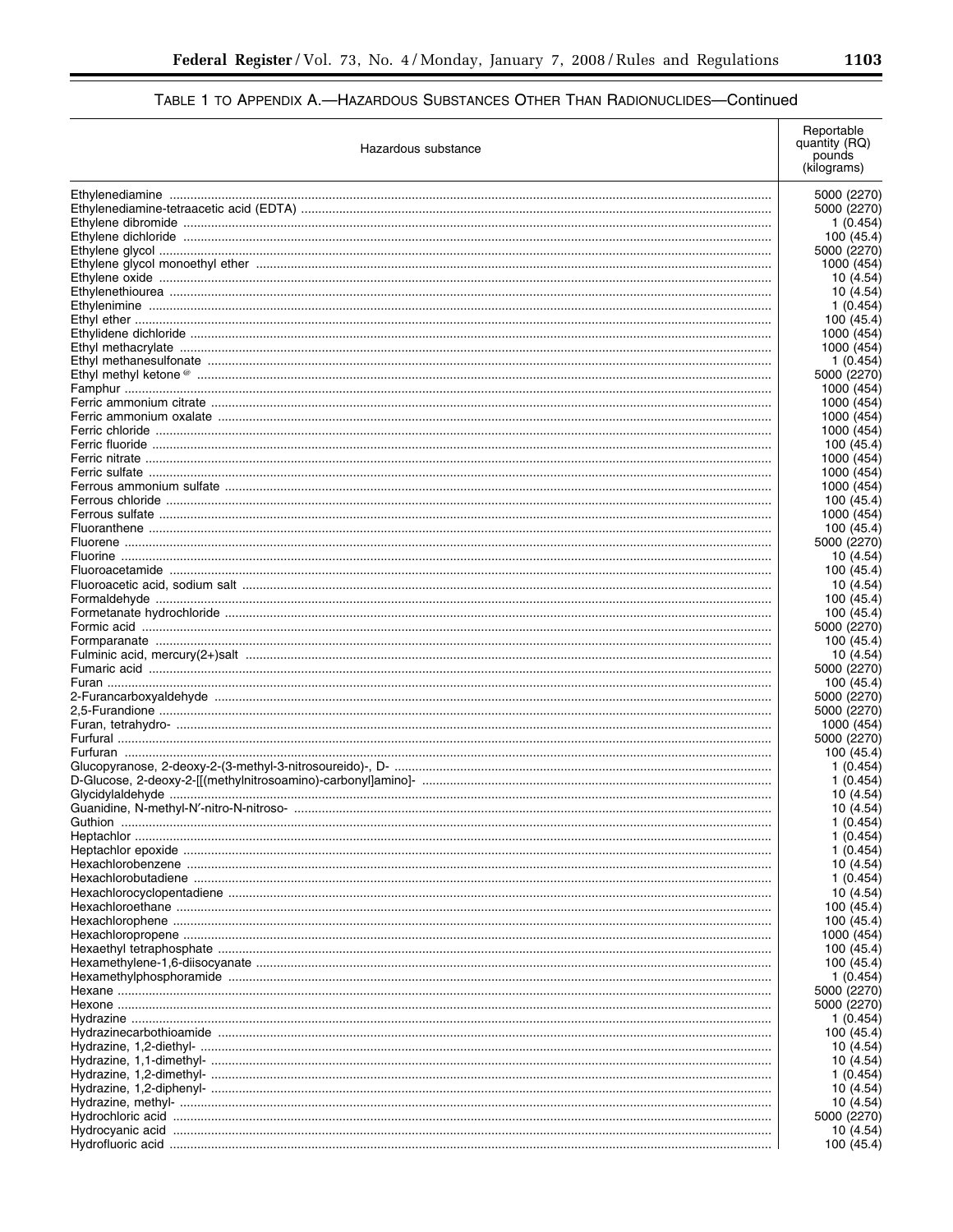| Hazardous substance | Reportable<br>quantity (RQ)<br>pounds<br>(kilograms) |
|---------------------|------------------------------------------------------|
|                     | 5000 (2270)                                          |
|                     | 5000 (2270)                                          |
|                     | 1 (0.454)                                            |
|                     | 100 (45.4)                                           |
|                     | 5000 (2270)<br>1000 (454)                            |
|                     | 10 (4.54)                                            |
|                     | 10 (4.54)                                            |
|                     | 1 (0.454)                                            |
|                     | 100 (45.4)                                           |
|                     | 1000 (454)                                           |
|                     | 1000 (454)                                           |
|                     | 1 (0.454)<br>5000 (2270)                             |
|                     | 1000 (454)                                           |
|                     | 1000 (454)                                           |
|                     | 1000 (454)                                           |
|                     | 1000 (454)                                           |
|                     | 100 (45.4)                                           |
|                     | 1000 (454)                                           |
|                     | 1000 (454)<br>1000 (454)                             |
|                     | 100 (45.4)                                           |
|                     | 1000 (454)                                           |
|                     | 100 (45.4)                                           |
|                     | 5000 (2270)                                          |
|                     | 10 (4.54)                                            |
|                     | 100 (45.4)                                           |
|                     | 10 (4.54)<br>100 (45.4)                              |
|                     | 100 (45.4)                                           |
|                     | 5000 (2270)                                          |
|                     | 100 (45.4)                                           |
|                     | 10 (4.54)                                            |
|                     | 5000 (2270)                                          |
|                     | 100 (45.4)                                           |
|                     | 5000 (2270)<br>5000 (2270)                           |
|                     | 1000 (454)                                           |
|                     | 5000 (2270)                                          |
|                     | 100 (45.4)                                           |
|                     | 1 (0.454)                                            |
|                     | 1(0.454)                                             |
|                     | 10 (4.54)                                            |
|                     | 10 (4.54)<br>1 (0.454)                               |
|                     | 1 (0.454)                                            |
|                     | 1 (0.454)                                            |
|                     | 10 (4.54)                                            |
|                     | 1 (0.454)                                            |
|                     | 10 (4.54)                                            |
|                     | 100 (45.4)<br>100 (45.4)                             |
|                     | 1000 (454)                                           |
|                     | 100 (45.4)                                           |
|                     | 100 (45.4)                                           |
|                     | 1 (0.454)                                            |
|                     | 5000 (2270)                                          |
|                     | 5000 (2270)                                          |
|                     | 1 (0.454)<br>100 (45.4)                              |
|                     | 10 (4.54)                                            |
|                     | 10 (4.54)                                            |
|                     | 1 (0.454)                                            |
|                     | 10 (4.54)                                            |
|                     | 10 (4.54)                                            |
|                     | 5000 (2270)                                          |
|                     | 10 (4.54)                                            |
|                     | 100 (45.4)                                           |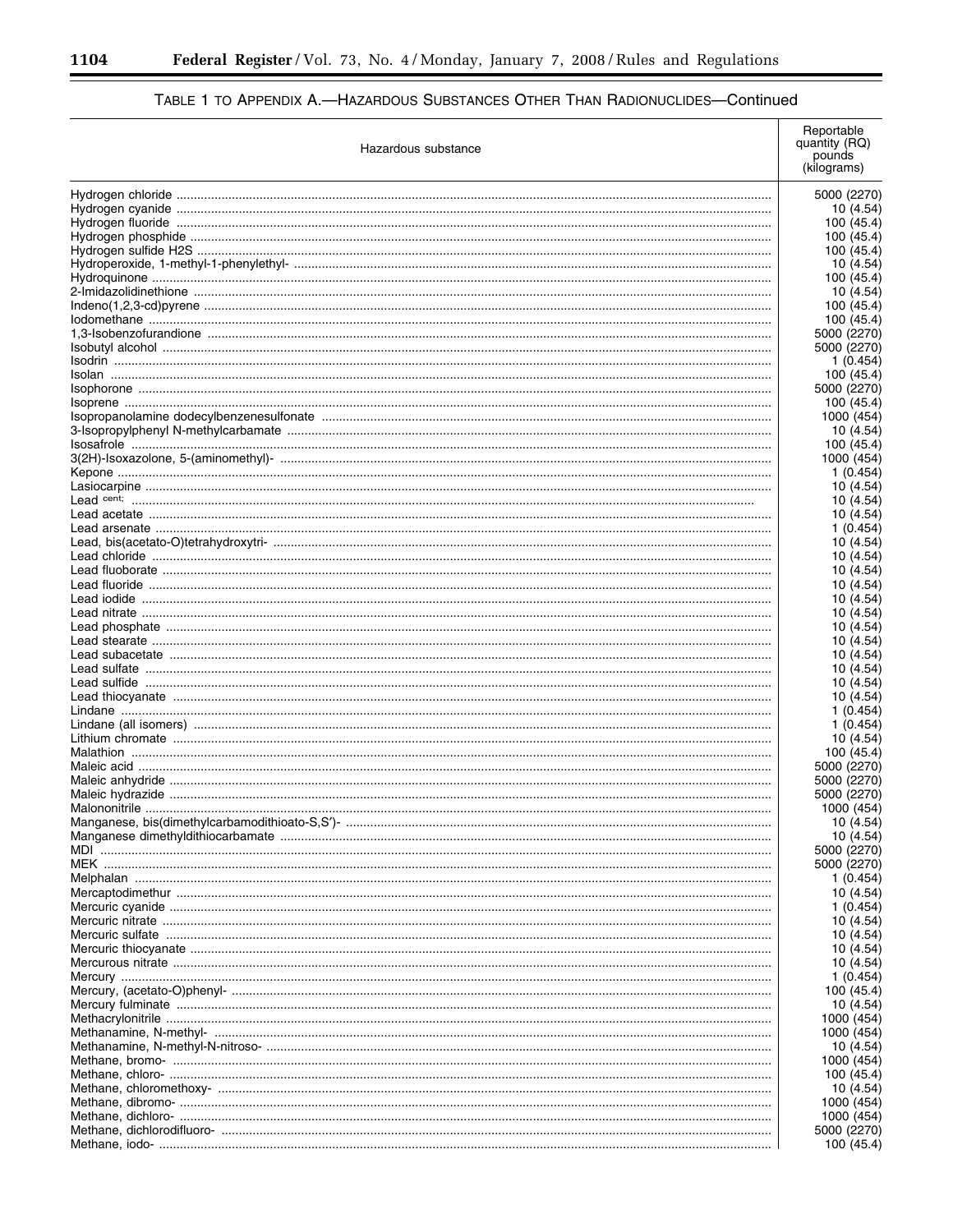÷.

# TABLE 1 TO APPENDIX A.-HAZARDOUS SUBSTANCES OTHER THAN RADIONUCLIDES-Continued

| Hazardous substance | Reportable<br>quantity (RQ)<br>pounds<br>(kilograms) |
|---------------------|------------------------------------------------------|
|                     |                                                      |
|                     | 5000 (2270)<br>10 (4.54)                             |
|                     | 100 (45.4)                                           |
|                     | 100 (45.4)                                           |
|                     | 100 (45.4                                            |
|                     | 10 (4.54                                             |
|                     | 100 (45.4                                            |
|                     | 10 (4.54                                             |
|                     | 100 (45.4)                                           |
|                     | 100 (45.4)                                           |
|                     | 5000 (2270)<br>5000 (2270)                           |
|                     | 1 (0.454)                                            |
|                     | 100 (45.4                                            |
|                     | 5000 (2270)                                          |
|                     | 100 (45.4)                                           |
|                     | 1000 (454                                            |
|                     | 10 (4.54)                                            |
|                     | 100 (45.4)                                           |
|                     | 1000 (454)                                           |
|                     | 1(0.454)                                             |
|                     | 10 (4.54)                                            |
|                     | 10 (4.54)                                            |
|                     | 10 (4.54)<br>1 (0.454)                               |
|                     | 10 (4.54)                                            |
|                     | 10 (4.54)                                            |
|                     | 10 (4.54)                                            |
|                     | 10 (4.54)                                            |
|                     | 10 (4.54)                                            |
|                     | 10 (4.54)                                            |
|                     | 10 (4.54)                                            |
|                     | 10 (4.54)                                            |
|                     | 10 (4.54)                                            |
|                     | 10 (4.54)                                            |
|                     | 10 (4.54)                                            |
|                     | 10 (4.54)<br>1 (0.454)                               |
|                     | 1(0.454)                                             |
|                     | 10 (4.54)                                            |
|                     | 100 (45.4)                                           |
|                     | 5000 (2270)                                          |
|                     | 5000 (2270)                                          |
|                     | 5000 (2270)                                          |
|                     | 1000 (454)                                           |
|                     | 10 (4.54)                                            |
|                     | 10 (4.54)                                            |
|                     | 5000 (2270                                           |
|                     | 5000 (2270)                                          |
|                     | 1 (0.454)<br>10 (4.54)                               |
|                     | 1 (0.454)                                            |
|                     | 10 (4.54)                                            |
|                     | 10 (4.54)                                            |
|                     | 10 (4.54)                                            |
|                     | 10 (4.54)                                            |
|                     | 1(0.454)                                             |
|                     | 100 (45.4)                                           |
|                     | 10 (4.54)                                            |
|                     | 1000 (454                                            |
|                     | 1000 (454                                            |
|                     | 10 (4.54)                                            |
|                     | 1000 (454                                            |
|                     | 100 (45.4)<br>10 (4.54)                              |
|                     | 1000 (454                                            |
|                     | 1000 (454                                            |
|                     | 5000 (2270                                           |
|                     | 100 (45.4)                                           |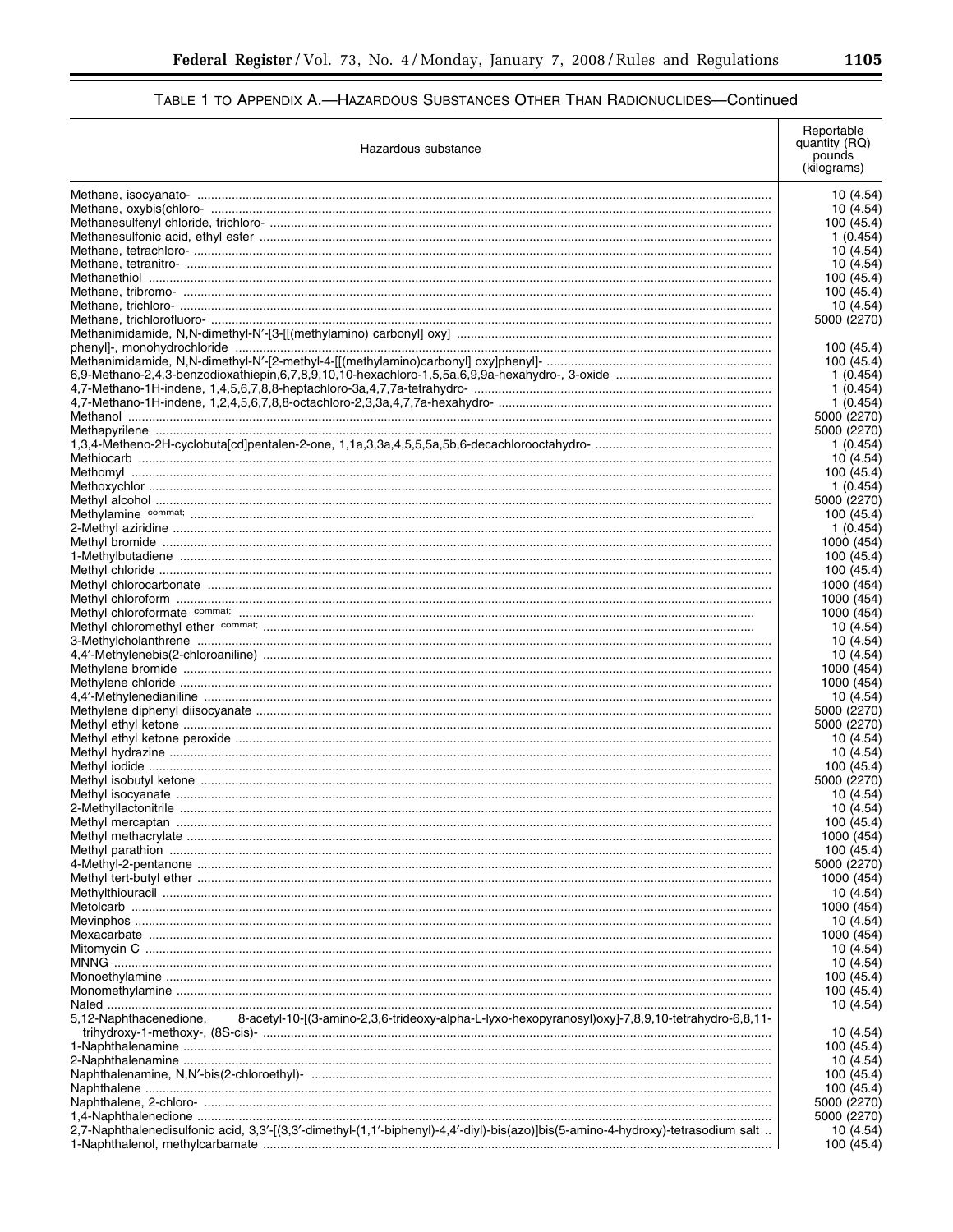| Hazardous substance                                                                                                              | Reportable<br>quantity (RQ)<br>pounds<br>(kilograms) |
|----------------------------------------------------------------------------------------------------------------------------------|------------------------------------------------------|
|                                                                                                                                  | 10 (4.54)                                            |
|                                                                                                                                  | 10 (4.54)                                            |
|                                                                                                                                  | 100 (45.4)                                           |
|                                                                                                                                  | 1 (0.454)                                            |
|                                                                                                                                  | 10 (4.54)                                            |
|                                                                                                                                  | 10 (4.54)<br>100 (45.4)                              |
|                                                                                                                                  | 100 (45.4)                                           |
|                                                                                                                                  | 10 (4.54)                                            |
|                                                                                                                                  | 5000 (2270)                                          |
|                                                                                                                                  |                                                      |
|                                                                                                                                  | 100 (45.4)                                           |
|                                                                                                                                  | 100 (45.4)                                           |
|                                                                                                                                  | 1 (0.454)                                            |
|                                                                                                                                  | 1 (0.454)                                            |
|                                                                                                                                  | 1(0.454)<br>5000 (2270)                              |
|                                                                                                                                  | 5000 (2270)                                          |
|                                                                                                                                  | 1(0.454)                                             |
|                                                                                                                                  | 10 (4.54)                                            |
|                                                                                                                                  | 100 (45.4)                                           |
|                                                                                                                                  | 1 (0.454)                                            |
|                                                                                                                                  | 5000 (2270)                                          |
|                                                                                                                                  | 100 (45.4)                                           |
|                                                                                                                                  | 1(0.454)                                             |
|                                                                                                                                  | 1000 (454)                                           |
|                                                                                                                                  | 100 (45.4)                                           |
|                                                                                                                                  | 100 (45.4)                                           |
|                                                                                                                                  | 1000 (454)<br>1000 (454)                             |
|                                                                                                                                  | 1000 (454)                                           |
|                                                                                                                                  | 10 (4.54)                                            |
|                                                                                                                                  | 10 (4.54)                                            |
|                                                                                                                                  | 10 (4.54)                                            |
|                                                                                                                                  | 1000 (454)                                           |
|                                                                                                                                  | 1000 (454)                                           |
|                                                                                                                                  | 10 (4.54)                                            |
|                                                                                                                                  | 5000 (2270)                                          |
|                                                                                                                                  | 5000 (2270)                                          |
|                                                                                                                                  | 10 (4.54)<br>10 (4.54)                               |
|                                                                                                                                  | 100 (45.4)                                           |
|                                                                                                                                  | 5000 (2270)                                          |
|                                                                                                                                  | 10 (4.54)                                            |
|                                                                                                                                  | 10 (4.54)                                            |
|                                                                                                                                  | 100 (45.4)                                           |
|                                                                                                                                  | 1000 (454)                                           |
|                                                                                                                                  | 100 (45.4)                                           |
|                                                                                                                                  | 5000 (2270)                                          |
|                                                                                                                                  | 1000 (454)                                           |
|                                                                                                                                  | 10 (4.54)                                            |
|                                                                                                                                  | 1000 (454)                                           |
|                                                                                                                                  | 10 (4.54)<br>1000 (454)                              |
|                                                                                                                                  | 10 (4.54)                                            |
|                                                                                                                                  | 10 (4.54)                                            |
|                                                                                                                                  | 100 (45.4)                                           |
|                                                                                                                                  | 100 (45.4)                                           |
|                                                                                                                                  | 10 (4.54)                                            |
| 5.12-Naphthacenedione.<br>-8-acetyl-10-[(3-amino-2,3,6-trideoxy-alpha-L-lyxo-hexopyranosyl)oxyl-7,8,9,10-tetrahydro-6,8,11       |                                                      |
|                                                                                                                                  | 10 (4.54)                                            |
|                                                                                                                                  | 100 (45.4)                                           |
|                                                                                                                                  | 10 (4.54)                                            |
|                                                                                                                                  | 100 (45.4)                                           |
|                                                                                                                                  | 100 (45.4)                                           |
|                                                                                                                                  | 5000 (2270)<br>5000 (2270)                           |
| 2,7-Naphthalenedisulfonic acid, 3,3'-[(3,3'-dimethyl-(1,1'-biphenyl)-4,4'-diyl)-bis(azo)]bis(5-amino-4-hydroxy)-tetrasodium salt | 10 (4.54)                                            |
|                                                                                                                                  | 100 (45.4)                                           |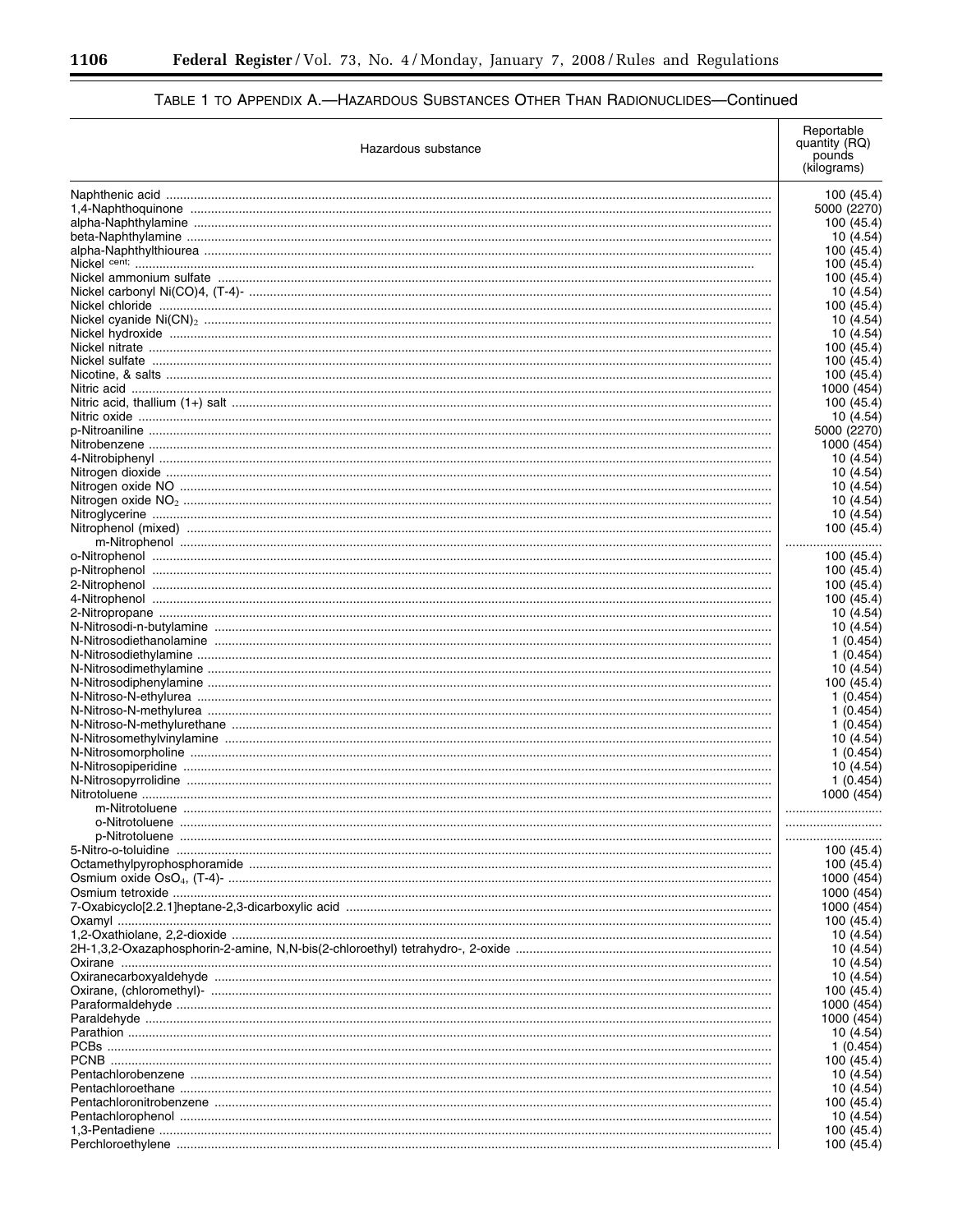| Hazardous substance | Reportable<br>quantity (RQ)<br>pounds<br>(kilograms) |           |
|---------------------|------------------------------------------------------|-----------|
|                     |                                                      |           |
|                     | 100 (45.4)<br>5000 (2270)                            |           |
|                     | 100 (45.4                                            |           |
|                     |                                                      | 10 (4.54) |
|                     | 100 (45.4                                            |           |
|                     | 100 (45.4                                            |           |
|                     | 100 (45.4)                                           |           |
|                     |                                                      | 10 (4.54) |
|                     | 100 (45.4)                                           |           |
|                     |                                                      | 10 (4.54) |
|                     |                                                      | 10 (4.54) |
|                     | 100 (45.4                                            |           |
|                     | 100 (45.4)                                           |           |
|                     | 100 (45.4)                                           |           |
|                     | 1000 (454                                            |           |
|                     | 100 (45.4)                                           |           |
|                     |                                                      | 10 (4.54) |
|                     | 5000 (2270)                                          |           |
|                     | 1000 (454                                            |           |
|                     |                                                      | 10 (4.54) |
|                     |                                                      | 10 (4.54) |
|                     |                                                      | 10 (4.54) |
|                     |                                                      | 10 (4.54) |
|                     |                                                      | 10 (4.54) |
|                     | 100 (45.4)                                           |           |
|                     | .                                                    |           |
|                     | 100 (45.4)                                           |           |
|                     | 100 (45.4)                                           |           |
|                     | 100 (45.4)                                           |           |
|                     | 100 (45.4)                                           |           |
|                     |                                                      | 10 (4.54) |
|                     |                                                      | 10 (4.54) |
|                     |                                                      | 1 (0.454) |
|                     |                                                      | 1(0.454)  |
|                     |                                                      | 10 (4.54) |
|                     | 100 (45.4)                                           |           |
|                     |                                                      | 1 (0.454) |
|                     |                                                      | 1 (0.454) |
|                     |                                                      | 1(0.454)  |
|                     |                                                      | 10 (4.54) |
|                     |                                                      | 1(0.454)  |
|                     |                                                      | 10 (4.54) |
|                     |                                                      | 1(0.454)  |
|                     | 1000 (454)                                           |           |
|                     |                                                      |           |
|                     |                                                      |           |
|                     |                                                      |           |
|                     | 100 (45.4)                                           |           |
|                     | 100 (45.4)                                           |           |
|                     | 1000 (454                                            |           |
|                     | 1000 (454                                            |           |
|                     | 1000 (454                                            |           |
|                     | 100 (45.4)                                           |           |
|                     |                                                      | 10 (4.54) |
|                     |                                                      | 10 (4.54) |
|                     |                                                      | 10 (4.54) |
|                     |                                                      | 10 (4.54) |
|                     | 100 (45.4)                                           |           |
|                     | 1000 (454<br>1000 (454                               |           |
|                     |                                                      |           |
|                     |                                                      | 10 (4.54) |
|                     |                                                      | 1 (0.454) |
|                     | 100 (45.4)                                           |           |
|                     |                                                      | 10 (4.54) |
|                     |                                                      | 10 (4.54) |
|                     | 100 (45.4)                                           |           |
|                     |                                                      | 10 (4.54) |
|                     | 100 (45.4)                                           |           |
|                     | 100 (45.4)                                           |           |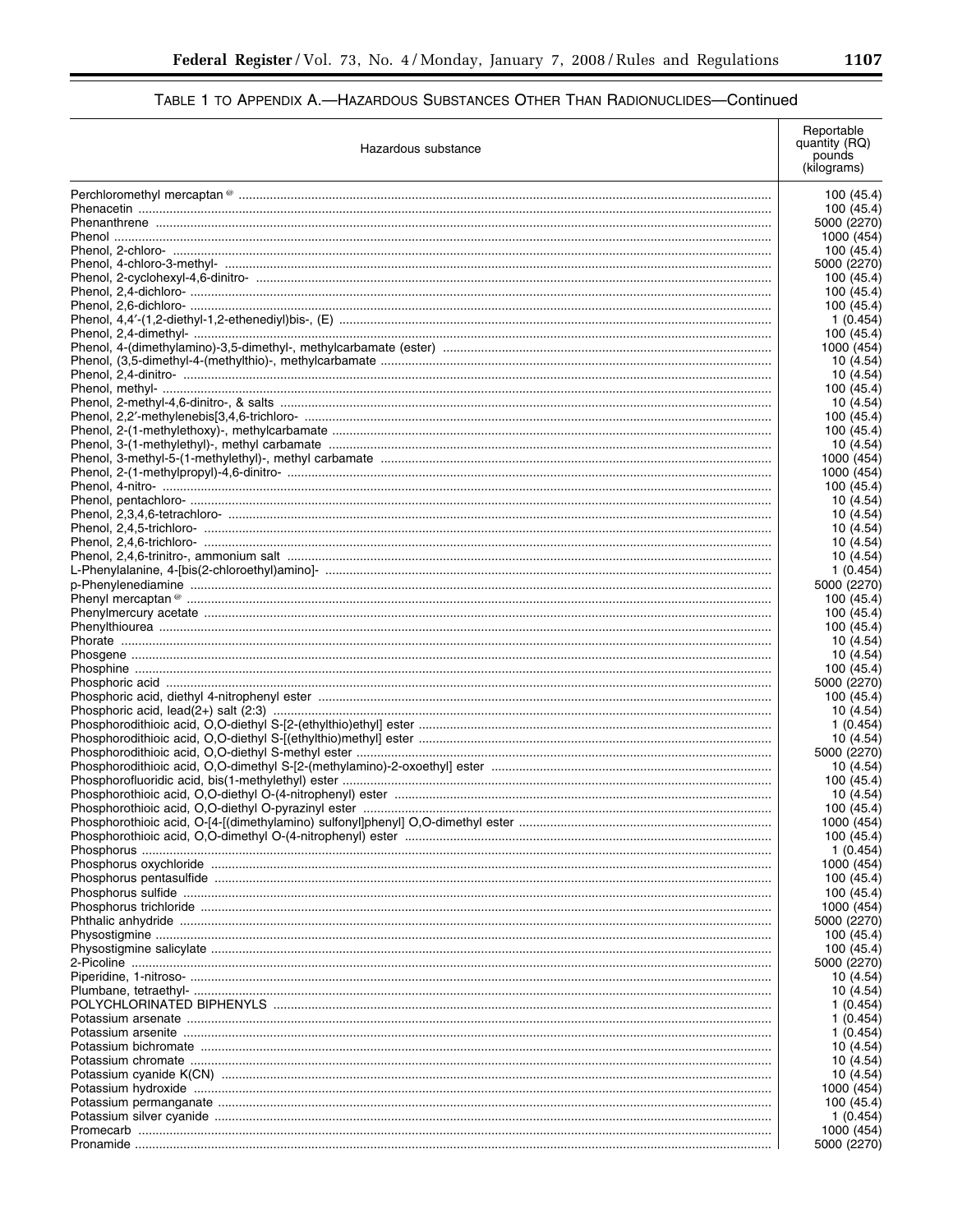| Hazardous substance |                                         |
|---------------------|-----------------------------------------|
|                     | 100 (45.4)                              |
|                     | 100 (45.4)                              |
|                     | 5000 (2270)                             |
|                     | 1000 (454)                              |
|                     | 100 (45.4)                              |
|                     | 5000 (2270)                             |
|                     | 100 (45.4)<br>100 (45.4)                |
|                     | 100 (45.4)                              |
|                     | 1(0.454)                                |
|                     | 100 (45.4)                              |
|                     | 1000 (454)                              |
|                     | 10 (4.54)                               |
|                     | 10 (4.54)                               |
|                     | 100 (45.4)                              |
|                     | 10 (4.54)                               |
|                     | 100 (45.4)<br>100 (45.4)                |
|                     | 10 (4.54)                               |
|                     | 1000 (454)                              |
|                     | 1000 (454)                              |
|                     | 100 (45.4)                              |
|                     | 10 (4.54)                               |
|                     | 10 (4.54)                               |
|                     | 10 (4.54)                               |
|                     | 10 (4.54)                               |
|                     | 10 (4.54)                               |
|                     | 1(0.454)                                |
|                     | 5000 (2270)                             |
|                     | 100 (45.4)<br>100 (45.4)                |
|                     | 100 (45.4)                              |
|                     | 10 (4.54)                               |
|                     | 10 (4.54)                               |
|                     | 100 (45.4)                              |
|                     | 5000 (2270)                             |
|                     | 100 (45.4)                              |
|                     | 10 (4.54)                               |
|                     | 1 (0.454)                               |
|                     | 10 (4.54)                               |
|                     | 5000 (2270)<br>10 (4.54)                |
|                     | 100 (45.4)                              |
|                     | 10 (4.54)                               |
|                     | 100 (45.4)                              |
|                     | 1000 (454)                              |
|                     | 100 (45.4)                              |
|                     | 1(0.454)                                |
|                     | 1000 (454)                              |
|                     | 100 (45.4)                              |
|                     | 100 (45.4)                              |
|                     | 1000 (454)                              |
|                     | 5000 (2270)                             |
|                     | 100 (45.4)<br>100 (45.4)<br>5000 (2270) |
|                     | 10 (4.54)                               |
|                     | 10 (4.54)                               |
|                     | 1 (0.454)                               |
|                     | 1(0.454)                                |
|                     | 1 (0.454)                               |
|                     | 10 (4.54)                               |
|                     | 10 (4.54)                               |
|                     | 10 (4.54)                               |
|                     | 1000 (454)                              |
|                     | 100 (45.4)                              |
|                     | 1(0.454)                                |
|                     | 1000 (454)                              |
|                     | 5000 (2270)                             |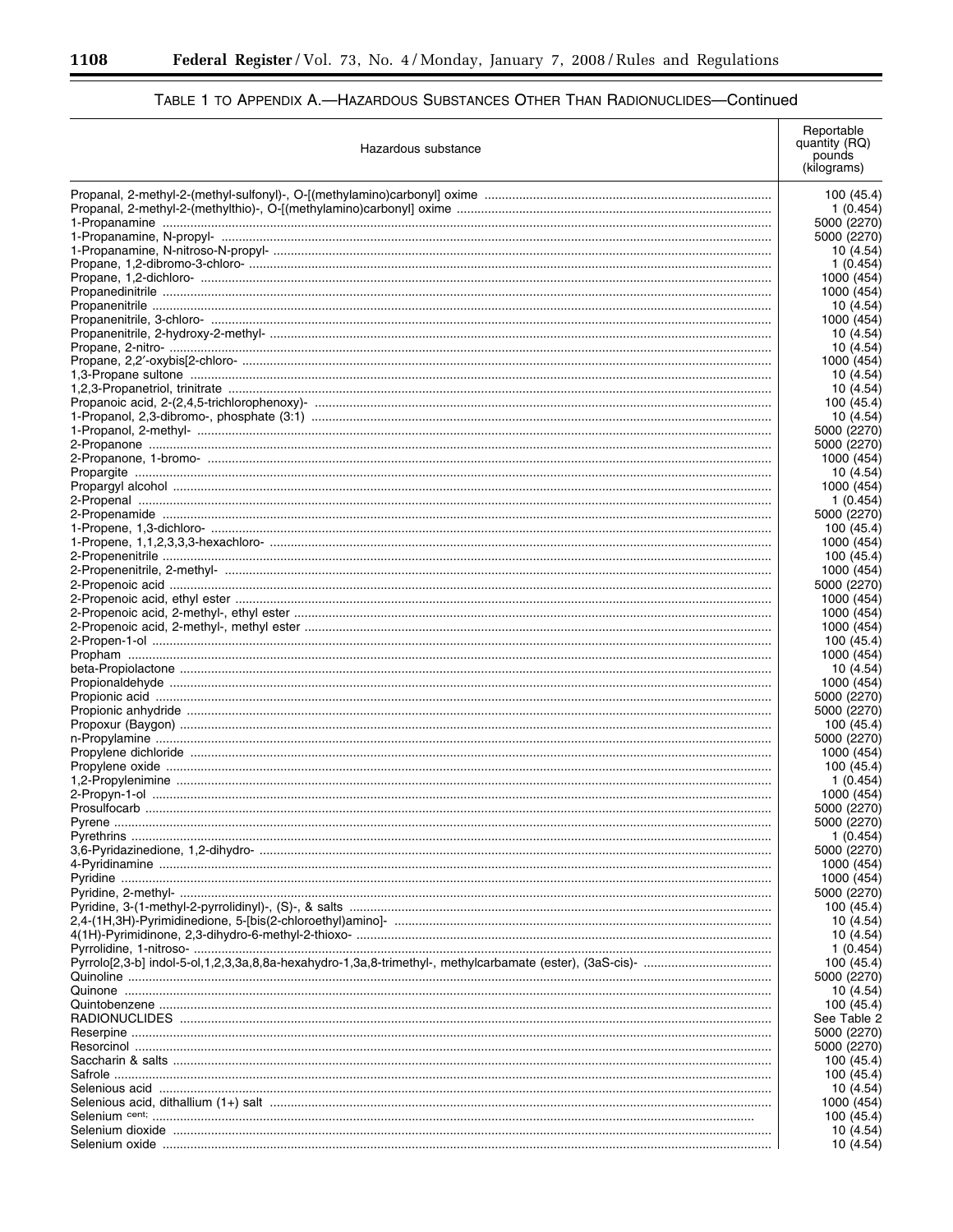Ξ

÷.

# TABLE 1 TO APPENDIX A.-HAZARDOUS SUBSTANCES OTHER THAN RADIONUCLIDES-Continued

| Hazardous substance | Reportable<br>quantity (RQ)<br>pounds<br>(kilograms) |
|---------------------|------------------------------------------------------|
|                     | 100 (45.4)                                           |
|                     | 1 (0.454)                                            |
|                     | 5000 (2270)                                          |
|                     | 5000 (2270)                                          |
|                     | 10 (4.54)                                            |
|                     | 1 (0.454)<br>1000 (454)                              |
|                     | 1000 (454)                                           |
|                     | 10 (4.54)                                            |
|                     | 1000 (454)                                           |
|                     | 10 (4.54)                                            |
|                     | 10 (4.54)                                            |
|                     | 1000 (454                                            |
|                     | 10 (4.54                                             |
|                     | 10 (4.54)<br>100 (45.4                               |
|                     | 10 (4.54)                                            |
|                     | 5000 (2270)                                          |
|                     | 5000 (2270)                                          |
|                     | 1000 (454                                            |
|                     | 10 (4.54)                                            |
|                     | 1000 (454                                            |
|                     | 1 (0.454                                             |
|                     | 5000 (2270)                                          |
|                     | 100 (45.4)                                           |
|                     | 1000 (454<br>100 (45.4                               |
|                     | 1000 (454                                            |
|                     | 5000 (2270)                                          |
|                     | 1000 (454                                            |
|                     | 1000 (454                                            |
|                     | 1000 (454                                            |
|                     | 100 (45.4)                                           |
|                     | 1000 (454                                            |
|                     | 10 (4.54)                                            |
|                     | 1000 (454                                            |
|                     | 5000 (2270)<br>5000 (2270)                           |
|                     | 100 (45.4)                                           |
|                     | 5000 (2270)                                          |
|                     | 1000 (454                                            |
|                     | 100 (45.4                                            |
|                     | 1 (0.454                                             |
|                     | 1000 (454                                            |
|                     | 5000 (2270)                                          |
|                     | 5000 (2270                                           |
|                     | 1(0.454)<br>5000 (2270)                              |
|                     | 1000 (454                                            |
|                     | 1000 (454                                            |
|                     | 5000 (2270)                                          |
|                     | 100 (45.4)                                           |
|                     | 10 (4.54)                                            |
|                     | 10 (4.54)                                            |
|                     | 1(0.454)                                             |
|                     | 100 (45.4)                                           |
|                     | 5000 (2270)                                          |
|                     | 10 (4.54)                                            |
|                     | 100 (45.4)<br>See Table 2                            |
|                     | 5000 (2270)                                          |
|                     | 5000 (2270)                                          |
|                     | 100 (45.4)                                           |
|                     | 100 (45.4)                                           |
|                     | 10 (4.54)                                            |
|                     | 1000 (454                                            |
|                     | 100 (45.4)                                           |
|                     | 10 (4.54)                                            |
|                     | 10 (4.54)                                            |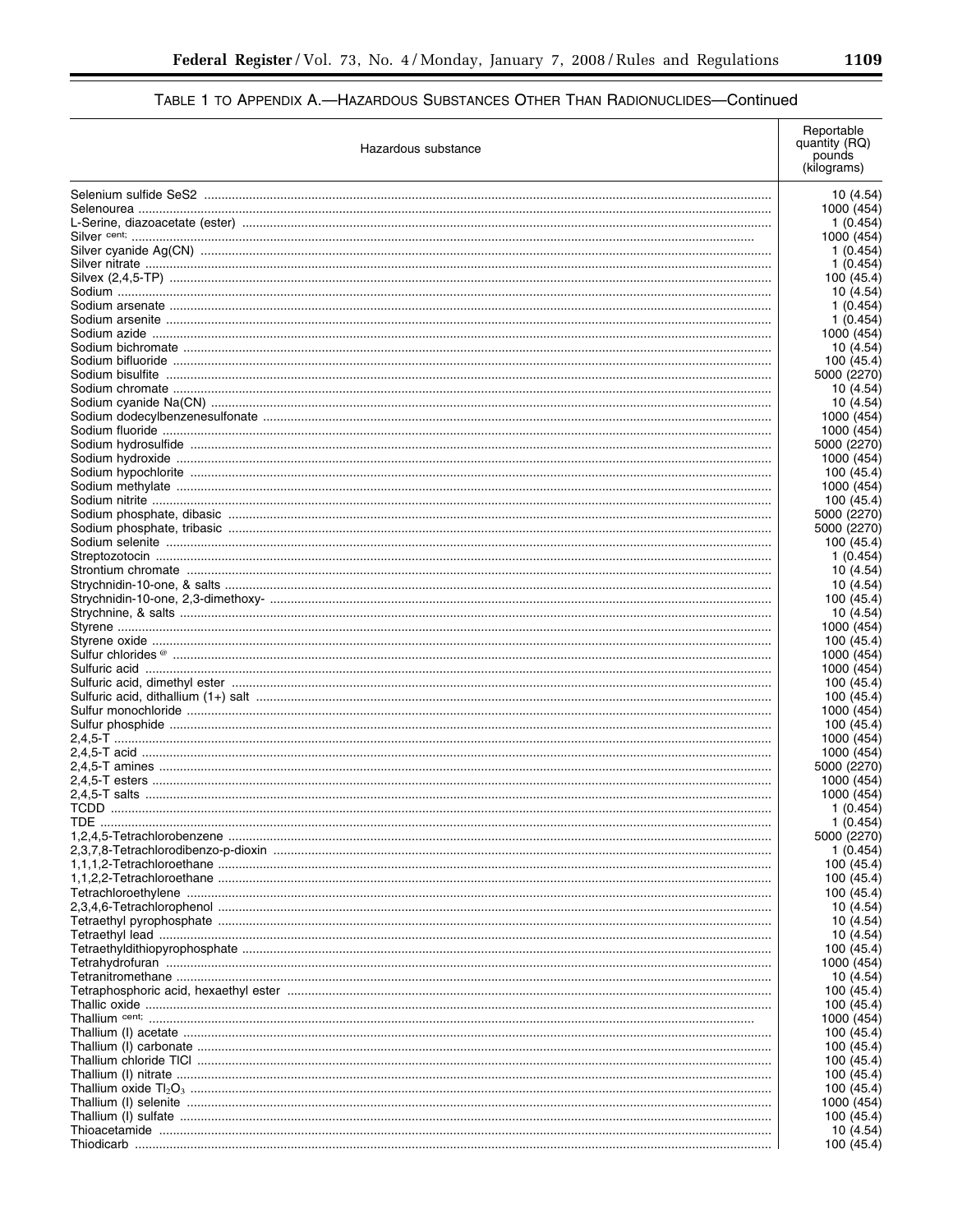| Hazardous substance | Reportable<br>quantity (RQ)<br>pounds<br>(kilograms) |
|---------------------|------------------------------------------------------|
|                     | 10 (4.54)                                            |
|                     | 1000 (454)                                           |
|                     | 1(0.454)                                             |
|                     | 1000 (454)<br>1(0.454)                               |
|                     | 1(0.454)                                             |
|                     | 100 (45.4)                                           |
|                     | 10 (4.54)                                            |
|                     | 1(0.454)                                             |
|                     | 1(0.454)                                             |
|                     | 1000 (454)<br>10(4.54)                               |
|                     | 100 (45.4)                                           |
|                     | 5000 (2270)                                          |
|                     | 10 (4.54)                                            |
|                     | 10(4.54)                                             |
|                     | 1000 (454)                                           |
|                     | 1000 (454)                                           |
|                     | 5000 (2270)<br>1000 (454)                            |
|                     | 100 (45.4)                                           |
|                     | 1000 (454)                                           |
|                     | 100 (45.4)                                           |
|                     | 5000 (2270)                                          |
|                     | 5000 (2270)                                          |
|                     | 100 (45.4)                                           |
|                     | 1(0.454)                                             |
|                     | 10 (4.54)<br>10(4.54)                                |
|                     | 100 (45.4)                                           |
|                     | 10(4.54)                                             |
|                     | 1000 (454)                                           |
|                     | 100 (45.4)                                           |
|                     | 1000 (454)                                           |
|                     | 1000 (454)                                           |
|                     | 100 (45.4)<br>100 (45.4)                             |
|                     | 1000 (454)                                           |
|                     | 100 (45.4)                                           |
|                     | 1000 (454)                                           |
|                     | 1000 (454)                                           |
|                     | 5000 (2270)                                          |
|                     | 1000 (454)                                           |
|                     | 1000 (454)<br>1 (0.454)                              |
| TDE.                | 1(0.454)                                             |
|                     | 5000 (2270)                                          |
|                     | 1 (0.454)                                            |
|                     | 100 (45.4)                                           |
|                     | 100 (45.4)                                           |
|                     | 100 (45.4)                                           |
|                     | 10 (4.54)<br>10 (4.54)                               |
|                     | 10 (4.54)                                            |
|                     | 100 (45.4)                                           |
|                     | 1000 (454)                                           |
|                     | 10 (4.54)                                            |
|                     | 100 (45.4)                                           |
|                     | 100 (45.4)                                           |
|                     | 1000 (454)<br>100 (45.4)                             |
|                     | 100 (45.4)                                           |
|                     | 100 (45.4)                                           |
|                     | 100 (45.4)                                           |
|                     | 100 (45.4)                                           |
|                     | 1000 (454)                                           |
|                     | 100 (45.4)                                           |
|                     | 10 (4.54)<br>100 (45.4)                              |
|                     |                                                      |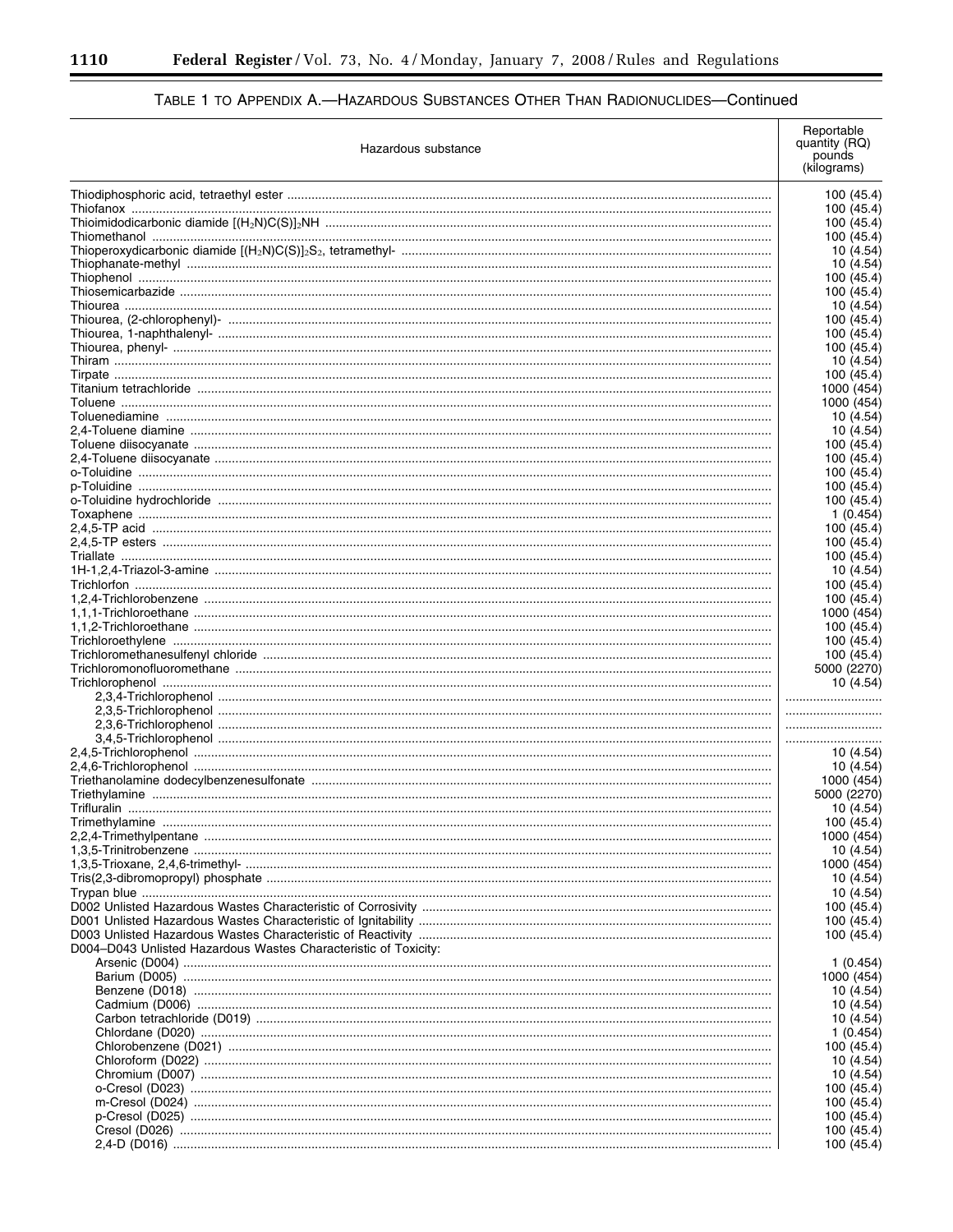-

| Hazardous substance                                             | Reportable<br>quantity (RQ)<br>pounds<br>(kilograms) |
|-----------------------------------------------------------------|------------------------------------------------------|
|                                                                 | 100 (45.4)                                           |
|                                                                 | 100 (45.4)                                           |
|                                                                 | 100 (45.4)                                           |
|                                                                 | 100 (45.4)                                           |
|                                                                 | 10 (4.54)                                            |
|                                                                 | 10 (4.54)<br>100 (45.4)                              |
|                                                                 | 100 (45.4)                                           |
|                                                                 | 10 (4.54)                                            |
|                                                                 | 100 (45.4)                                           |
|                                                                 | 100 (45.4)<br>100 (45.4)                             |
|                                                                 | 10 (4.54)                                            |
|                                                                 | 100 (45.4)                                           |
|                                                                 | 1000 (454)                                           |
|                                                                 | 1000 (454                                            |
|                                                                 | 10 (4.54)<br>10 (4.54)                               |
|                                                                 | 100 (45.4)                                           |
|                                                                 | 100 (45.4)                                           |
|                                                                 | 100 (45.4)                                           |
|                                                                 | 100 (45.4)<br>100 (45.4)                             |
|                                                                 | 1 (0.454)                                            |
|                                                                 | 100 (45.4)                                           |
|                                                                 | 100 (45.4)                                           |
|                                                                 | 100 (45.4)<br>10 (4.54)                              |
|                                                                 | 100 (45.4)                                           |
|                                                                 | 100 (45.4)                                           |
|                                                                 | 1000 (454)                                           |
|                                                                 | 100 (45.4)<br>100 (45.4)                             |
|                                                                 | 100 (45.4)                                           |
|                                                                 | 5000 (2270)                                          |
|                                                                 | 10 (4.54)                                            |
|                                                                 |                                                      |
|                                                                 |                                                      |
|                                                                 |                                                      |
|                                                                 | 10 (4.54)                                            |
|                                                                 | 10 (4.54)                                            |
|                                                                 | 1000 (454)<br>5000 (2270)                            |
|                                                                 | 10 (4.54)                                            |
|                                                                 | 100 (45.4)                                           |
|                                                                 | 1000 (454)                                           |
|                                                                 | 10 (4.54)<br>1000 (454)                              |
|                                                                 | 10 (4.54)                                            |
|                                                                 | 10 (4.54)                                            |
|                                                                 | 100 (45.4)                                           |
|                                                                 | 100 (45.4)<br>100 (45.4)                             |
| D004-D043 Unlisted Hazardous Wastes Characteristic of Toxicity: |                                                      |
|                                                                 | 1(0.454)                                             |
|                                                                 | 1000 (454)                                           |
|                                                                 | 10 (4.54)                                            |
|                                                                 | 10 (4.54)<br>10 (4.54)                               |
|                                                                 | 1(0.454)                                             |
|                                                                 | 100 (45.4)                                           |
|                                                                 | 10 (4.54)                                            |
|                                                                 | 10 (4.54)                                            |
|                                                                 | 100 (45.4)<br>100 (45.4)                             |
|                                                                 | 100 (45.4)                                           |
|                                                                 | 100 (45.4)                                           |
|                                                                 | 100 (45.4)                                           |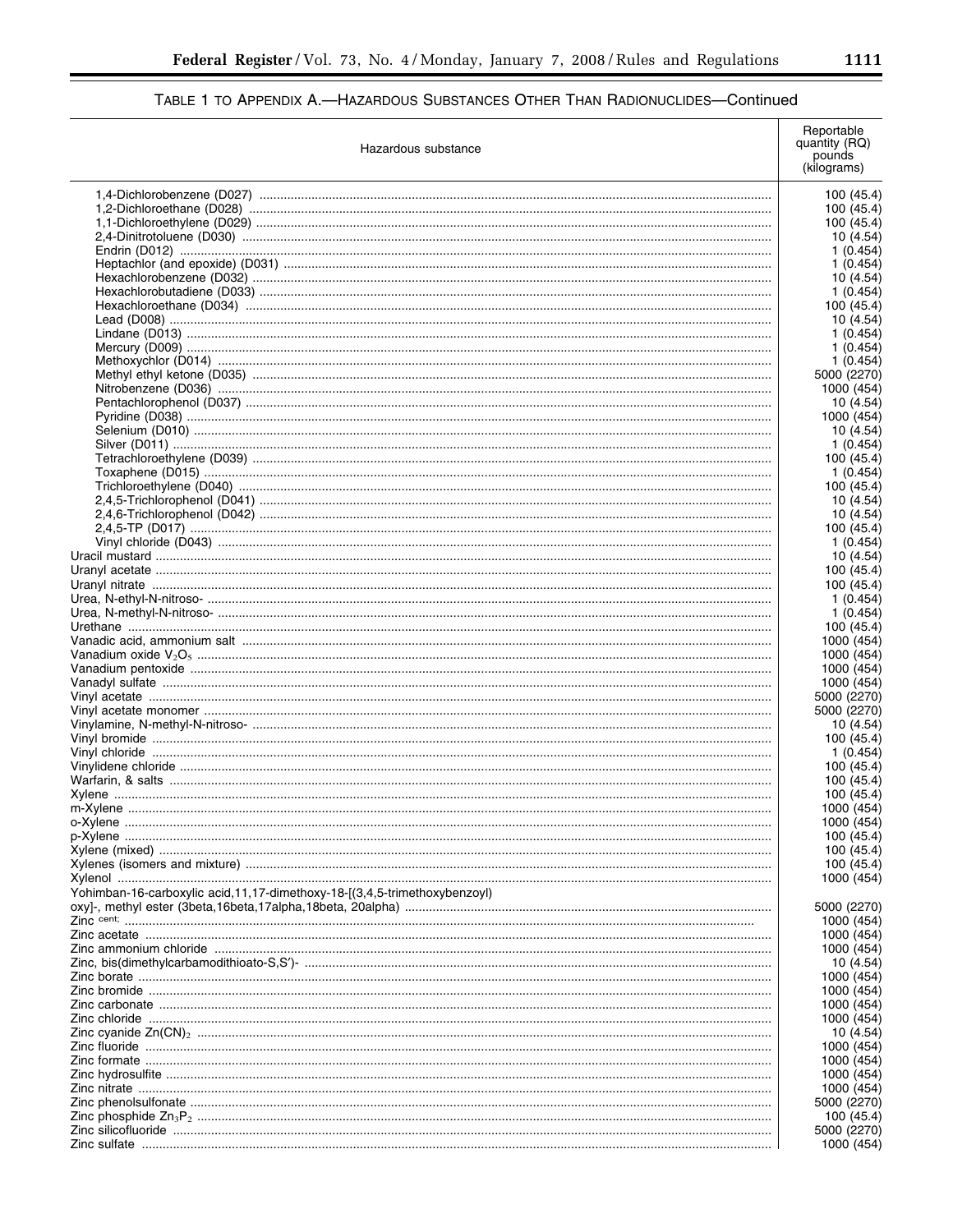| Hazardous substance                                                         | Reportable<br>quantity (RQ)<br>pounds<br>(kilograms) |
|-----------------------------------------------------------------------------|------------------------------------------------------|
|                                                                             | 100 (45.4)                                           |
|                                                                             | 100 (45.4)                                           |
|                                                                             | 100 (45.4)                                           |
|                                                                             | 10 (4.54)<br>1 (0.454)                               |
|                                                                             | 1(0.454)                                             |
|                                                                             | 10 (4.54)                                            |
|                                                                             | 1(0.454)                                             |
|                                                                             | 100 (45.4)                                           |
|                                                                             | 10 (4.54)                                            |
|                                                                             | 1 (0.454)<br>1(0.454)                                |
|                                                                             | 1 (0.454)                                            |
|                                                                             | 5000 (2270)                                          |
|                                                                             | 1000 (454)                                           |
|                                                                             | 10 (4.54)                                            |
|                                                                             | 1000 (454)                                           |
|                                                                             | 10 (4.54)<br>1(0.454)                                |
|                                                                             | 100 (45.4)                                           |
|                                                                             | 1 (0.454)                                            |
|                                                                             | 100 (45.4)                                           |
|                                                                             | 10 (4.54)                                            |
|                                                                             | 10 (4.54)                                            |
|                                                                             | 100 (45.4)                                           |
|                                                                             | 1 (0.454)                                            |
|                                                                             | 10 (4.54)<br>100 (45.4)                              |
|                                                                             | 100 (45.4)                                           |
|                                                                             | 1 (0.454)                                            |
|                                                                             | 1 (0.454)                                            |
|                                                                             | 100 (45.4)                                           |
|                                                                             | 1000 (454)                                           |
|                                                                             | 1000 (454)<br>1000 (454)                             |
|                                                                             | 1000 (454)                                           |
|                                                                             | 5000 (2270)                                          |
|                                                                             | 5000 (2270)                                          |
|                                                                             | 10 (4.54)                                            |
|                                                                             | 100 (45.4)                                           |
|                                                                             | 1 (0.454)                                            |
|                                                                             | 100 (45.4)<br>100 (45.4)                             |
|                                                                             | 100 (45.4)                                           |
|                                                                             | 1000 (454)                                           |
|                                                                             | 1000 (454)                                           |
|                                                                             | 100 (45.4)                                           |
|                                                                             | 100 (45.4)                                           |
|                                                                             | 100 (45.4)                                           |
| Yohimban-16-carboxylic acid, 11, 17-dimethoxy-18-[(3,4,5-trimethoxybenzoyl) | 1000 (454)                                           |
|                                                                             | 5000 (2270)                                          |
|                                                                             | 1000 (454)                                           |
|                                                                             | 1000 (454)                                           |
|                                                                             | 1000 (454)                                           |
|                                                                             | 10 (4.54)                                            |
|                                                                             | 1000 (454)<br>1000 (454)                             |
|                                                                             | 1000 (454)                                           |
|                                                                             | 1000 (454)                                           |
|                                                                             | 10 (4.54)                                            |
|                                                                             | 1000 (454)                                           |
|                                                                             | 1000 (454)                                           |
|                                                                             | 1000 (454)                                           |
|                                                                             | 1000 (454)<br>5000 (2270)                            |
|                                                                             | 100 (45.4)                                           |
|                                                                             | 5000 (2270)                                          |
|                                                                             | 1000 (454)                                           |

▀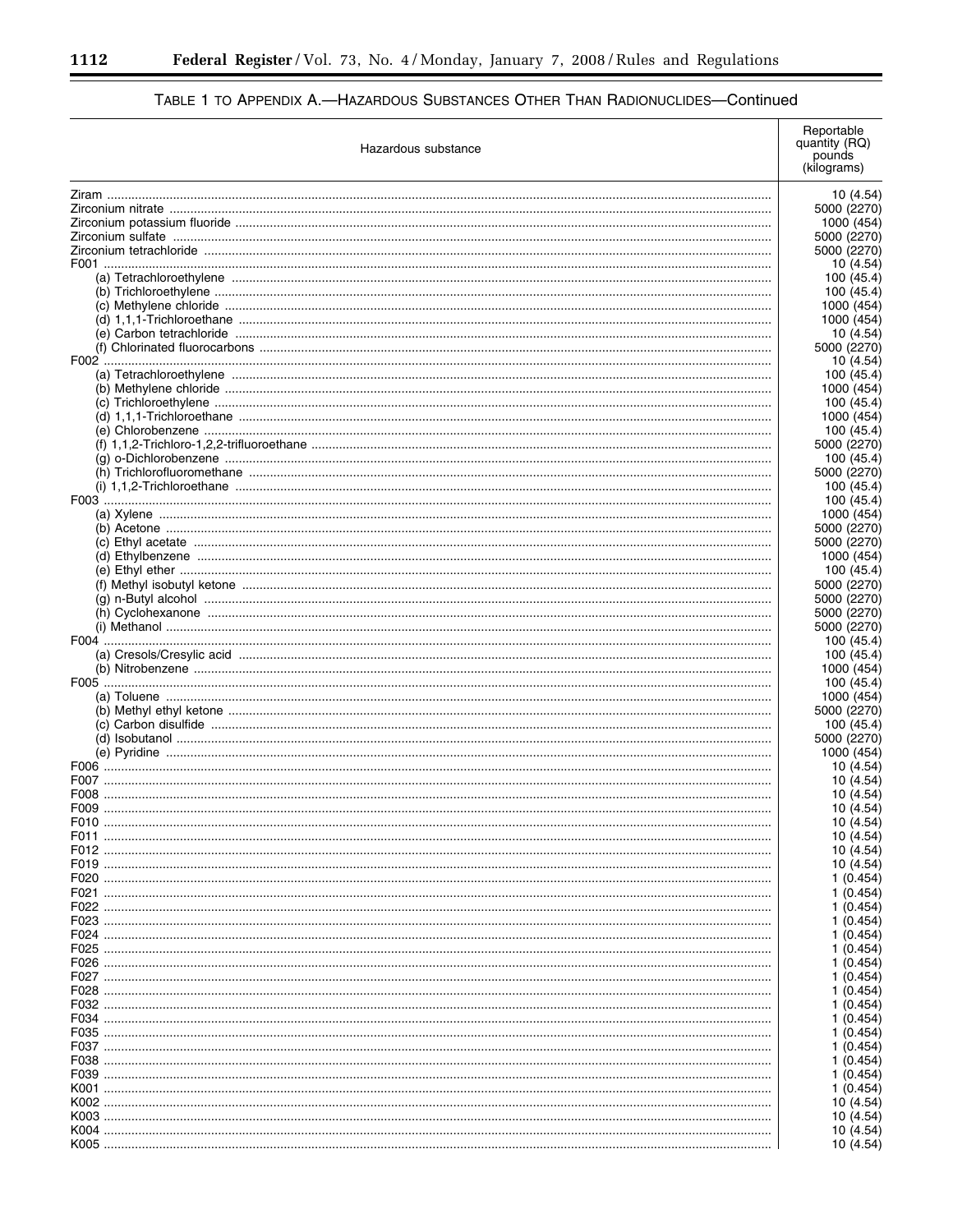# TABLE 1 TO APPENDIX A.-HAZARDOUS SUBSTANCES OTHER THAN RADIONUCLIDES-Continued

| Hazardous substance |                          |
|---------------------|--------------------------|
|                     |                          |
|                     | 10 (4.54<br>5000 (2270   |
|                     | 1000 (454                |
|                     | 5000 (2270               |
|                     | 5000 (2270               |
|                     | 10 (4.54                 |
|                     | 100 (45.4                |
|                     | 100 (45.4<br>1000 (454   |
|                     | 1000 (454                |
|                     | 10 (4.54                 |
|                     | 5000 (2270               |
|                     | 10 (4.54                 |
|                     | 100 (45.4                |
|                     | 1000 (454<br>100 (45.4   |
|                     | 1000 (454                |
|                     | 100 (45.4                |
|                     | 5000 (2270               |
|                     | 100 (45.4                |
|                     | 5000 (2270               |
|                     | 100 (45.4                |
|                     | 100 (45.4<br>1000 (454   |
|                     | 5000 (2270               |
|                     | 5000 (2270               |
|                     | 1000 (454                |
|                     | 100 (45.4                |
|                     | 5000 (2270               |
|                     | 5000 (2270               |
|                     | 5000 (2270<br>5000 (2270 |
|                     | 100 (45.4                |
|                     | 100 (45.4                |
|                     | 1000 (454                |
|                     | 100 (45.4                |
|                     | 1000 (454                |
|                     | 5000 (2270<br>100 (45.4  |
|                     | 5000 (2270               |
|                     | 1000 (454                |
|                     | 10 (4.54                 |
|                     | 10 (4.54                 |
|                     | 10 (4.54                 |
|                     | 10 (4.54                 |
|                     | 10 (4.54<br>10 (4.54     |
|                     | 10 (4.54                 |
|                     | 10 (4.54                 |
|                     | 1 (0.454                 |
|                     | 1 (0.454                 |
|                     | 1 (0.454                 |
|                     | 1 (0.454<br>1 (0.454     |
|                     | 1 (0.454                 |
|                     | 1 (0.454                 |
|                     | 1 (0.454                 |
|                     | 1 (0.454                 |
|                     | 1 (0.454                 |
|                     | 1 (0.454                 |
|                     | 1 (0.454<br>1 (0.454     |
|                     | 1 (0.454                 |
|                     | 1 (0.454                 |
|                     | 1 (0.454                 |
|                     | 10 (4.54                 |
|                     | 10 (4.54                 |
|                     | 10 (4.54                 |
|                     | 10 (4.54                 |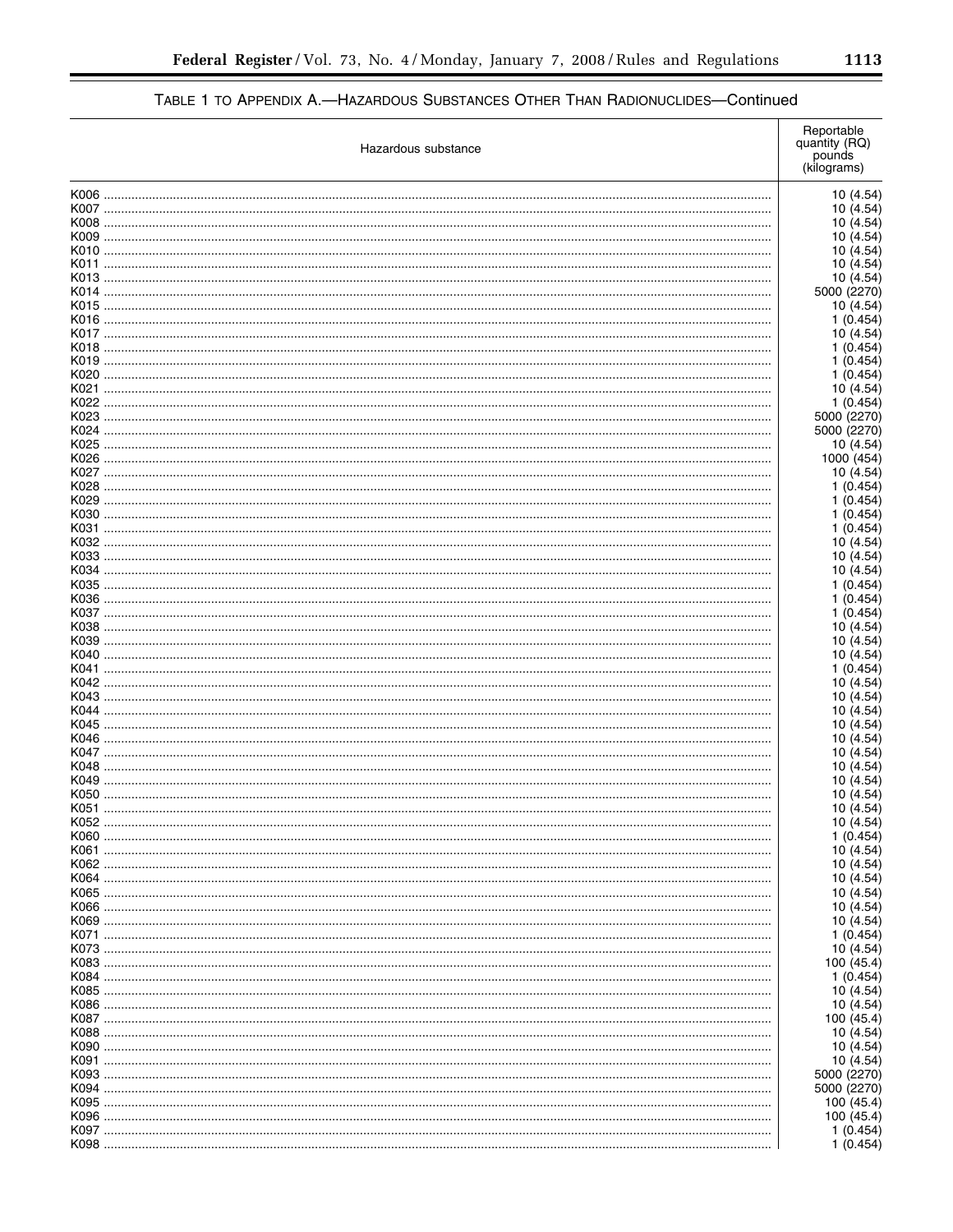|      | Hazardous substance | Reportable<br>quantity (RQ)<br>pounds<br>(kilograms) |
|------|---------------------|------------------------------------------------------|
|      |                     | 10 (4.54)                                            |
|      |                     | 10 (4.54)                                            |
|      |                     | 10 (4.54)                                            |
|      |                     | 10 (4.54)                                            |
|      |                     | 10 (4.54)<br>10 (4.54)                               |
|      |                     | 10 (4.54)                                            |
|      |                     | 5000 (2270)                                          |
|      |                     | 10(4.54)                                             |
|      |                     | 1(0.454)                                             |
|      |                     | 10 (4.54)                                            |
|      |                     | 1(0.454)<br>1(0.454)                                 |
|      |                     | 1(0.454)                                             |
|      |                     | 10 (4.54)                                            |
|      |                     | 1(0.454)                                             |
|      |                     | 5000 (2270)                                          |
|      |                     | 5000 (2270)                                          |
|      |                     | 10 (4.54)                                            |
|      |                     | 1000 (454)                                           |
|      |                     | 10 (4.54)<br>1(0.454)                                |
|      |                     | 1(0.454)                                             |
|      |                     | 1(0.454)                                             |
|      |                     | 1(0.454)                                             |
|      |                     | 10 (4.54)                                            |
|      |                     | 10 (4.54)                                            |
|      |                     | 10 (4.54)                                            |
|      |                     | 1(0.454)                                             |
|      |                     | 1(0.454)<br>1(0.454)                                 |
|      |                     | 10 (4.54)                                            |
|      |                     | 10 (4.54)                                            |
|      |                     | 10 (4.54)                                            |
|      |                     | 1(0.454)                                             |
|      |                     | 10 (4.54)                                            |
|      |                     | 10 (4.54)                                            |
|      |                     | 10 (4.54)<br>10 (4.54)                               |
|      |                     | 10 (4.54)                                            |
|      |                     | 10 (4.54)                                            |
|      |                     | 10 (4.54)                                            |
|      |                     | 10 (4.54)                                            |
|      |                     | 10 (4.54)                                            |
|      |                     | 10 (4.54)                                            |
| K052 |                     | 10 (4.54)                                            |
|      |                     | 1(0.454)<br>10 (4.54)                                |
|      |                     | 10 (4.54)                                            |
|      |                     | 10 (4.54)                                            |
|      |                     | 10 (4.54)                                            |
|      |                     | 10 (4.54)                                            |
|      |                     | 10 (4.54)                                            |
|      |                     | 1(0.454)                                             |
|      |                     | 10 (4.54)<br>100 (45.4)                              |
|      |                     | 1(0.454)                                             |
|      |                     | 10 (4.54)                                            |
|      |                     | 10 (4.54)                                            |
|      |                     | 100 (45.4)                                           |
|      |                     | 10 (4.54)                                            |
|      |                     | 10 (4.54)                                            |
|      |                     | 10 (4.54)                                            |
|      |                     | 5000 (2270)<br>5000 (2270)                           |
|      |                     | 100 (45.4)                                           |
|      |                     | 100 (45.4)                                           |
|      |                     | 1(0.454)                                             |
|      |                     | 1(0.454)                                             |

 $\equiv$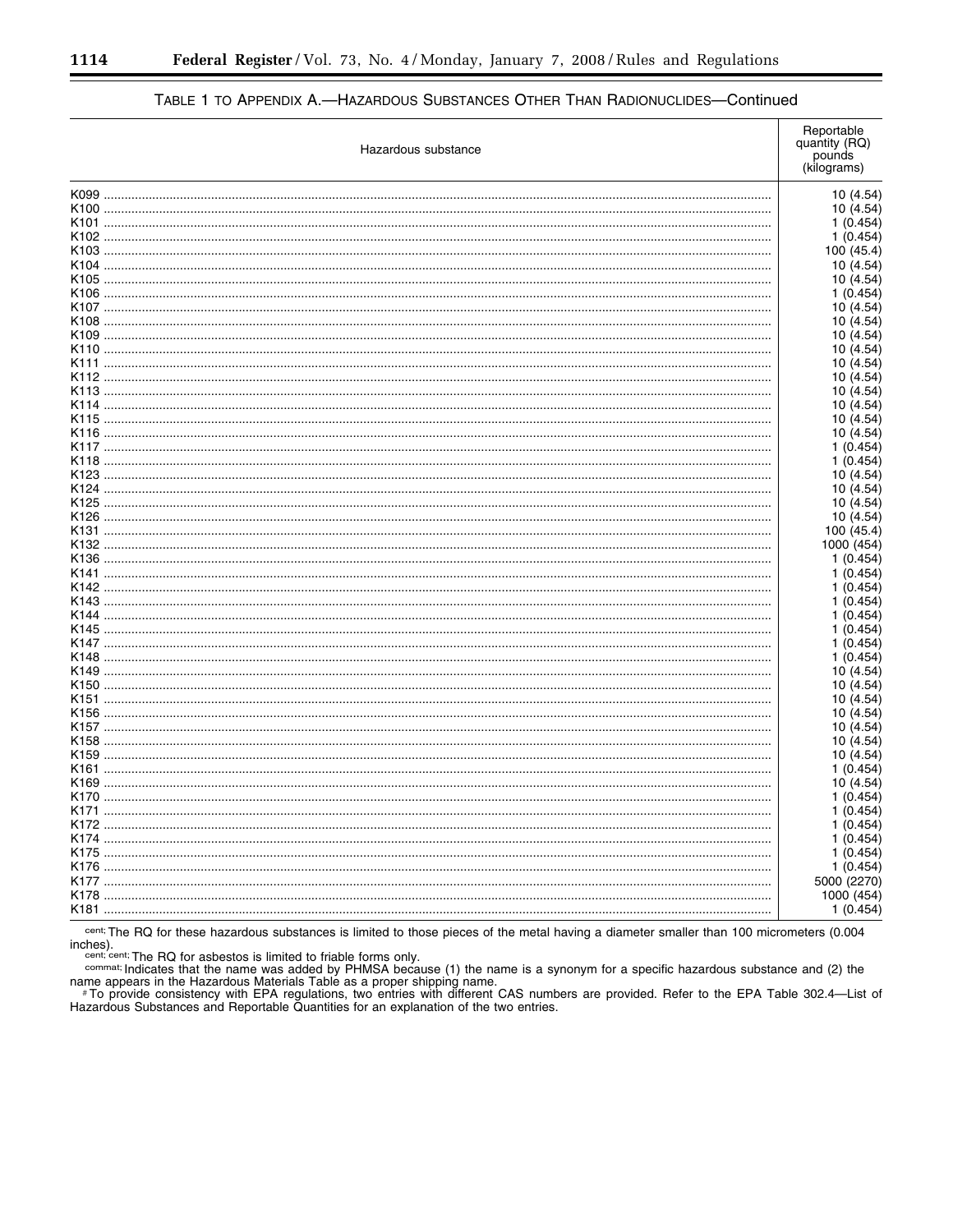| Hazardous substance | Reportable<br>quantity (RQ)<br>pounds<br>(kilograms) |
|---------------------|------------------------------------------------------|
|                     | 10 (4.54)                                            |
|                     | 10 (4.54)                                            |
|                     | 1(0.454)                                             |
|                     | 1(0.454)                                             |
|                     | 100 (45.4                                            |
|                     | 10 (4.54)                                            |
|                     | 10 (4.54)                                            |
|                     | 1(0.454)                                             |
|                     | 10 (4.54)                                            |
|                     | 10 (4.54)                                            |
|                     | 10 (4.54)                                            |
|                     | 10 (4.54)                                            |
|                     | 10 (4.54                                             |
|                     | 10 (4.54)                                            |
|                     | 10 (4.54)                                            |
|                     | 10 (4.54)                                            |
|                     | 10 (4.54)                                            |
|                     | 10 (4.54                                             |
|                     | 1(0.454)                                             |
|                     | 1(0.454)                                             |
|                     | 10 (4.54)                                            |
|                     | 10 (4.54)                                            |
|                     | 10 (4.54                                             |
|                     | 10 (4.54)                                            |
|                     | 100 (45.4)                                           |
|                     | 1000 (454)                                           |
|                     | 1 (0.454)                                            |
|                     | 1 (0.454                                             |
|                     | 1(0.454)                                             |
|                     | 1(0.454)                                             |
|                     | 1(0.454)                                             |
|                     | 1(0.454)                                             |
|                     | 1(0.454)                                             |
|                     | 1(0.454)                                             |
|                     | 10 (4.54)                                            |
|                     | 10 (4.54)                                            |
|                     | 10 (4.54                                             |
|                     | 10 (4.54                                             |
|                     | 10 (4.54)                                            |
|                     | 10 (4.54)                                            |
|                     | 10 (4.54                                             |
|                     | 1(0.454)<br>10 (4.54                                 |
|                     |                                                      |
|                     | 1(0.454)<br>1 (0.454)                                |
|                     | 1 (0.454                                             |
|                     | 1 (0.454                                             |
|                     | 1 (0.454                                             |
|                     | 1(0.454)                                             |
|                     | 5000 (2270)                                          |
|                     | 1000 (454                                            |
|                     | 1 (0.454)                                            |
|                     |                                                      |

cent; The RQ for these hazardous substances is limited to those pieces of the metal having a diameter smaller than 100 micrometers (0.004

Cent, The HQ for asbestos is limited to friable forms only.<br>
Cent, cent, cent, cent, The RQ for asbestos is limited to friable forms only.<br>
Cent, cent, cent, The RQ for asbestos is limited to friable forms only.<br>
Central C